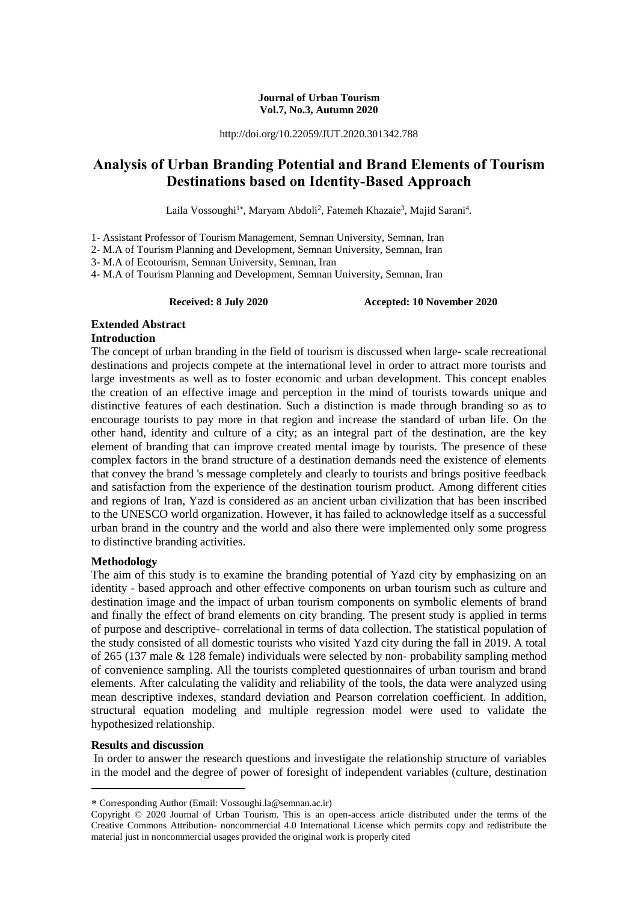#### **Journal of Urban Tourism Vol.7, No.3, Autumn 2020**

http://doi.org/10.22059/JUT.2020.301342.788

# **Analysis of Urban Branding Potential and Brand Elements of Tourism Destinations based on Identity-Based Approach**

Laila Vossoughi<sup>1\*</sup>, Maryam Abdoli<sup>2</sup>, Fatemeh Khazaie<sup>3</sup>, Majid Sarani<sup>4</sup>.

1- Assistant Professor of Tourism Management, Semnan University, Semnan, Iran

2- M.A of Tourism Planning and Development, Semnan University, Semnan, Iran

3- M.A of Ecotourism, Semnan University, Semnan, Iran

4- M.A of Tourism Planning and Development, Semnan University, Semnan, Iran

**Received: 8 July 2020 Accepted: 10 November 2020** 

# **Extended Abstract**

# **Introduction**

The concept of urban branding in the field of tourism is discussed when large- scale recreational destinations and projects compete at the international level in order to attract more tourists and large investments as well as to foster economic and urban development. This concept enables the creation of an effective image and perception in the mind of tourists towards unique and distinctive features of each destination. Such a distinction is made through branding so as to encourage tourists to pay more in that region and increase the standard of urban life. On the other hand, identity and culture of a city; as an integral part of the destination, are the key element of branding that can improve created mental image by tourists. The presence of these complex factors in the brand structure of a destination demands need the existence of elements that convey the brand 's message completely and clearly to tourists and brings positive feedback and satisfaction from the experience of the destination tourism product. Among different cities and regions of Iran, Yazd is considered as an ancient urban civilization that has been inscribed to the UNESCO world organization. However, it has failed to acknowledge itself as a successful urban brand in the country and the world and also there were implemented only some progress to distinctive branding activities.

# **Methodology**

The aim of this study is to examine the branding potential of Yazd city by emphasizing on an identity - based approach and other effective components on urban tourism such as culture and destination image and the impact of urban tourism components on symbolic elements of brand and finally the effect of brand elements on city branding. The present study is applied in terms of purpose and descriptive- correlational in terms of data collection. The statistical population of the study consisted of all domestic tourists who visited Yazd city during the fall in 2019. A total of 265 (137 male & 128 female) individuals were selected by non- probability sampling method of convenience sampling. All the tourists completed questionnaires of urban tourism and brand elements. After calculating the validity and reliability of the tools, the data were analyzed using mean descriptive indexes, standard deviation and Pearson correlation coefficient. In addition, structural equation modeling and multiple regression model were used to validate the hypothesized relationship.

#### **Results and discussion**

-

In order to answer the research questions and investigate the relationship structure of variables in the model and the degree of power of foresight of independent variables (culture, destination

Corresponding Author (Email: Vossoughi.la@semnan.ac.ir)

Copyright © 2020 Journal of Urban Tourism. This is an open-access article distributed under the terms of the Creative Commons Attribution- noncommercial 4.0 International License which permits copy and redistribute the material just in noncommercial usages provided the original work is properly cited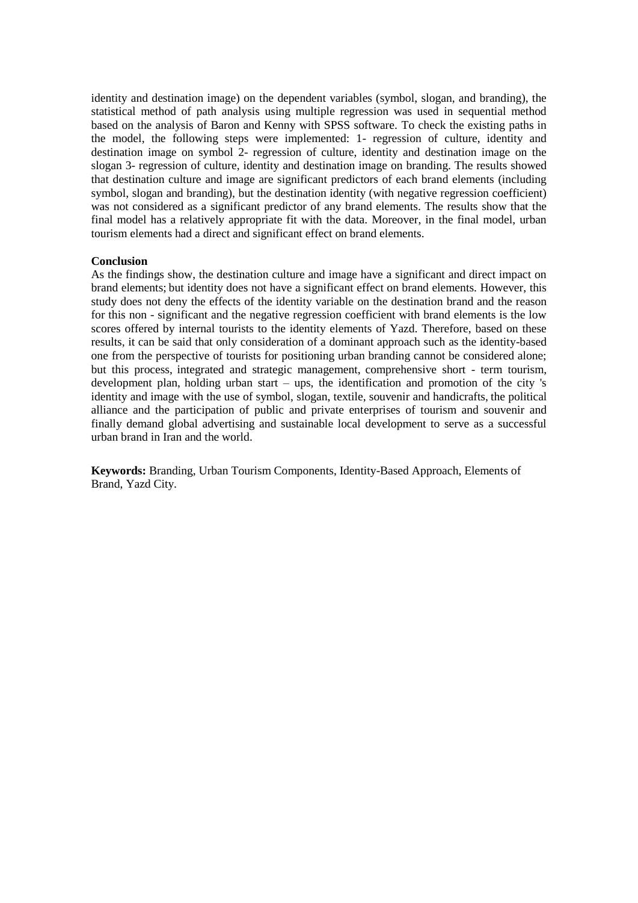identity and destination image) on the dependent variables (symbol, slogan, and branding), the statistical method of path analysis using multiple regression was used in sequential method based on the analysis of Baron and Kenny with SPSS software. To check the existing paths in the model, the following steps were implemented: 1- regression of culture, identity and destination image on symbol 2- regression of culture, identity and destination image on the slogan 3- regression of culture, identity and destination image on branding. The results showed that destination culture and image are significant predictors of each brand elements (including symbol, slogan and branding), but the destination identity (with negative regression coefficient) was not considered as a significant predictor of any brand elements. The results show that the final model has a relatively appropriate fit with the data. Moreover, in the final model, urban tourism elements had a direct and significant effect on brand elements.

### **Conclusion**

As the findings show, the destination culture and image have a significant and direct impact on brand elements; but identity does not have a significant effect on brand elements. However, this study does not deny the effects of the identity variable on the destination brand and the reason for this non - significant and the negative regression coefficient with brand elements is the low scores offered by internal tourists to the identity elements of Yazd. Therefore, based on these results, it can be said that only consideration of a dominant approach such as the identity-based one from the perspective of tourists for positioning urban branding cannot be considered alone; but this process, integrated and strategic management, comprehensive short - term tourism, development plan, holding urban start – ups, the identification and promotion of the city 's identity and image with the use of symbol, slogan, textile, souvenir and handicrafts, the political alliance and the participation of public and private enterprises of tourism and souvenir and finally demand global advertising and sustainable local development to serve as a successful urban brand in Iran and the world.

**Keywords:** Branding, Urban Tourism Components, Identity-Based Approach, Elements of Brand, Yazd City.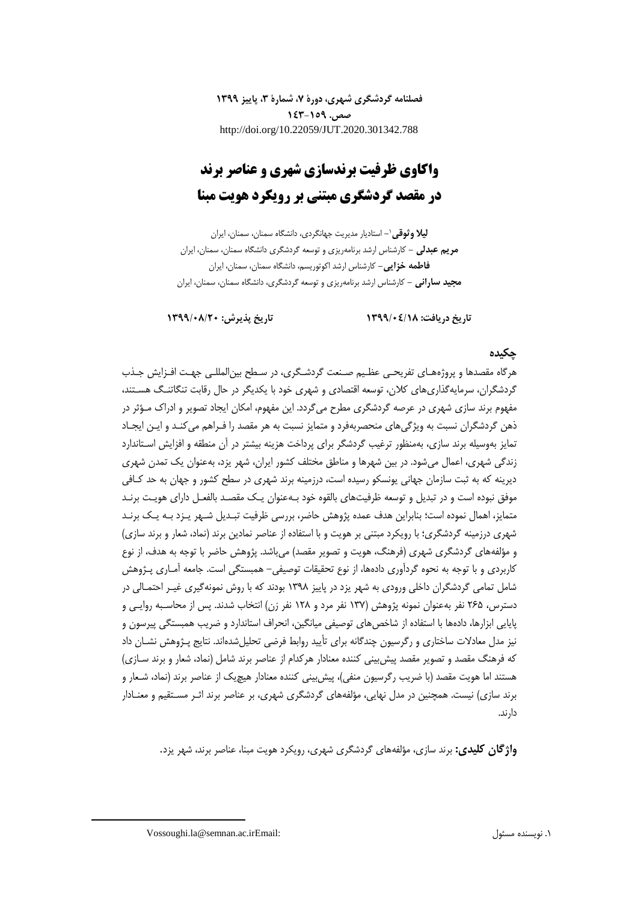**فصلنامه گردشگری شهری، دورۀ ،7 شمارۀ ،3 پاییز 1399 صص. 143-159** http://doi.org/10.22059/JUT.2020.301342.788

# **واکاوی ظرفیت برندسازی شهری و عناصر برند در مقصد گردشگری مبتنی بر رویکرد هویت مبنا**

**-** استادیار مدیریت جهانگردی، دانشگاه سمنان، سمنان، ایران <sup>1</sup> **لیال وثوقی مریم عبدلی -** کارشناس ارشد برنامهریزی و توسعه گردشگری دانشگاه سمنان، سمنان، ایران **فاطمه خزایی-** کارشناس ارشد اکوتوریسم، دانشگاه سمنان، سمنان، ایران **مجید سارانی -** کارشناس ارشد برنامهریزی و توسعه گردشگری، دانشگاه سمنان، سمنان، ایران

**تاریخ دریافت: 1399/04/18 تاریخ پذیرش: 1399/08/20**

# **چکیده**

هرگاه مقصدها و پروژههـای تفریحـی عظـیم صـنعت گردشـگری، در سـطح بینالمللـی جهـت افـزایش جـذب گردشگران، سرمایهگذاریهای کالن، توسعه اقتصادی و شهری خود با یکدیگر در حال رقابت تنگاتنـگ هسـتند، مفهوم برند سازی شهری در عرصه گردشگری مطرح میگردد. این مفهوم، امکان ایجاد تصویر و ادراك مـؤثر در ذهن گردشگران نسبت به ویژگیهای منحصربهفرد و متمایز نسبت به هر مقصد را فـراهم میکنـد و ایـن ایجـاد تمایز بهوسیله برند سازی، بهمنظور ترغیب گردشگر برای پرداخت هزینه بیشتر در آن منطقه و افزایش اسـتاندارد زندگی شهری، اعمال میشود. در بین شهرها و مناطق مختلف کشور ایران، شهر یزد، بهعنوان یک تمدن شهری دیرینه که به ثبت سازمان جهانی یونسکو رسیده است، درزمینه برند شهری در سطح کشور و جهان به حد کـافی موفق نبوده است و در تبدیل و توسعه ظرفیتهای بالقوه خود بـهعنوان یـک مقصـد بالفعـل دارای هویـت برنـد متمایز، اهمال نموده است؛ بنابراین هدف عمده پژوهش حاضر، بررسی ظرفیت تبـدیل شـهر یـزد بـه یـک برنـد شهری درزمینه گردشگری؛ با رویکرد مبتنی بر هویت و با استفاده از عناصر نمادین برند )نماد، شعار و برند سازی( و مؤلفههای گردشگری شهری (فرهنگ، هویت و تصویر مقصد) میباشد. پژوهش حاضر با توجه به هدف، از نوع کاربردی و با توجه به نحوه گردآوری دادهها، از نوع تحقیقات توصیفی- همبستگی است. جامعه آمـاری پـژوهش شامل تمامی گردشگران داخلی ورودی به شهر یزد در پاییز 1398 بودند که با روش نمونهگیری غیـر احتمـالی در دسترس، 265 نفر بهعنوان نمونه پژوهش )137 نفر مرد و 128 نفر زن( انتخاب شدند. پس از محاسـبه روایـی و پایایی ابزارها، دادهها با استفاده از شاخصهای توصیفی میانگین، انحراف استاندارد و ضریب همبستگی پیرسون و نیز مدل معادلات ساختاری و رگرسیون چندگانه برای تأیید روابط فرضی تحلیلشدهاند. نتایج پـژوهش نشـان داد که فرهنگ مقصد و تصویر مقصد پیشبینی کننده معنادار هرکدام از عناصر برند شامل )نماد، شعار و برند سـازی( هستند اما هویت مقصد )با ضریب رگرسیون منفی(، پیشبینی کننده معنادار هیچیک از عناصر برند )نماد، شـعار و برند سازی) نیست. همچنین در مدل نهایی، مؤلفههای گردشگری شهری، بر عناصر برند اثـر مسـتقیم و معنـادار دارند.

**واژگان کلیدی:** برند سازی، مؤلفههای گردشگری شهری، رویکرد هویت مبنا، عناصر برند، شهر یزد.

1

Vossoughi.la@semnan.ac.irEmail: مسئول نویسنده .1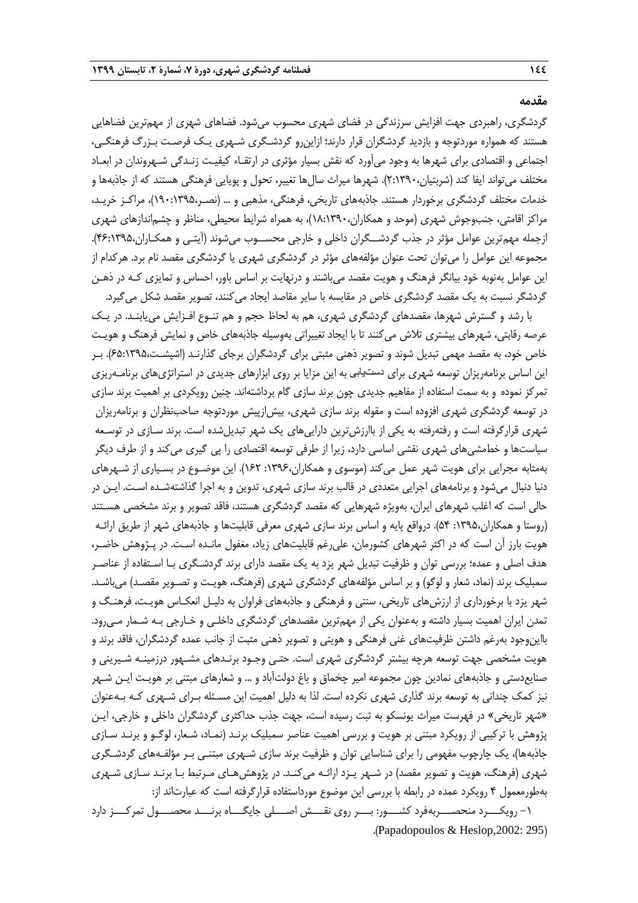گردشگری، راهبردی جهت افزایش سرزندگی در فضای شهری محسوب میشود. فضاهای شهری از مهمترین فضاهایی هستند که همواره موردتوجه و بازدید گردشگران قرار دارند؛ ازاینرو گردشـگری شـهری یـک فرصـت بـزرر فرهنگـی، اجتماعی و اقتصادی برای شهرها به وجود میآورد که نقش بسیار مؤثری در ارتقـاء کیفیـت زنـدگی شـهروندان در ابعـاد مختلف میتواند ایفا کند (شربتیان،۲:۱۳۹۰). شهرها میراث سالها تغییر، تحول و پویایی فرهنگی هستند که از جاذبهها و خدمات مختلف گردشگری برخوردار هستند. جاذبههای تاریخی، فرهنگی، مذهبی و ... )نصـر190:1395،(، مراکـز خریـد، مراکز اقامتی، جنبوجوش شهری (موحد و همکاران،۱۳۹۰،(۱۸:۱۳۹۰)، به همراه شرایط محیطی، مناظر و چشماندازهای شهری ازجمله مهمترین عوامل مؤثر در جذب گردشــگران داخلی و خارجی محســوب میشوند )آیتـی و همکـاران46:1395،(. مجموعه این عوامل را میتوان تحت عنوان مؤلفههای مؤثر در گردشگری شهری یا گردشگری مقصد نام برد. هرکدام از این عوامل بهنوبه خود بیانگر فرهنگ و هویت مقصد میباشند و درنهایت بر اساس باور، احساس و تمایزی کـه در ذهـن گردشگر نسبت به یک مقصد گردشگری خاص در مقایسه با سایر مقاصد ایجاد می کنند، تصویر مقصد شکل می گیرد.

با رشد و گسترش شهرها، مقصدهای گردشگری شهری، هم به لحاظ حجم و هم تنـوع افـزایش می یابنـد. در یـک عرصه رقابتی، شهرهای بیشتری تلاش میکنند تا با ایجاد تغییراتی بهوسیله جاذبههای خاص و نمایش فرهنگ و هویـت خاص خود، به مقصد مهمی تبدیل شوند و تصویر ذهنی مثبتی برای گردشگران برجای گذارنـد )اشپشـت65:1395،(. بـر این اساس برنامهریزان توسعه شهری برای دستیابی به این مزایا بر روی ابزارهای جدیدی در استراتژیهای برنامـهریزی تمرکز نموده و به سمت استفاده از مفاهیم جدیدی چون برند سازی گام برداشتهاند. چنین رویکردی بر اهمیت برند سازی در توسعه گردشگری شهری افزوده است و مقوله برند سازی شهری، بیشازپیش موردتوجه صاحبنظران و برنامهریزان شهری قرارگرفته است و رفتهرفته به یکی از باارزشترین داراییهای یک شهر تبدیلشده است. برند سـازی در توسـعه سیاستها و خطمشیهای شهری نقشی اساسی دارد، زیرا از طرفی توسعه اقتصادی را پی گیری میکند و از طرف دیگر بهمثابه مجرایی برای هویت شهر عمل میکند )موسوی و همکاران:1396، 162(. این موضـوع در بسـیاری از شـهرهای دنیا دنبال میشود و برنامههای اجرایی متعددی در قالب برند سازی شهری، تدوین و به اجرا گذاشتهشـده اسـت. ایـن در حالی است که اغلب شهرهای ایران، بهویژه شهرهایی که مقصد گردشگری هستند، فاقد تصویر و برند مشخصی هسـتند )روستا و همکاران:1395، 54(. درواقع پایه و اساس برند سازی شهری معرفی قابلیتها و جاذبههای شهر از طریق ارائـه هویت بارز آن است که در اکثر شهرهای کشورمان، علیرغم قابلیتهای زیاد، مغفول مانـده اسـت. در پـژوهش حاضـر، هدف اصلی و عمده؛ بررسی توان و ظرفیت تبدیل شهر یزد به یک مقصد دارای برند گردشـگری بـا اسـتفاده از عناصـر سمبلیک برند (نماد، شعار و لوگو) و بر اساس مؤلفههای گردشگری شهری (فرهنگ، هویـت و تصـویر مقصـد) میباشـد. شهر یزد با برخورداری از ارزشهای تاریخی، سنتی و فرهنگی و جاذبههای فراوان به دلیـل انعکـاس هویـت، فرهنـگ و تمدن ایران اهمیت بسیار داشته و بهعنوان یکی از مهمترین مقصدهای گردشگری داخلـی و خـارجی بـه شـمار مـیرود. بااینوجود بهرغم داشتن ظرفیتهای غنی فرهنگی و هویتی و تصویر ذهنی مثبت از جانب عمده گردشگران، فاقد برند و هویت مشخصی جهت توسعه هرچه بیشتر گردشگری شهری است. حتـی وجـود برنـدهای مشـهور درزمینـه شـیرینی و صنایعدستی و جاذبههای نمادین چون مجموعه امیر چخماق و باغ دولتآباد و ... و شعارهای مبتنی بر هویـت ایـن شـهر نیز کمک چندانی به توسعه برند گذاری شهری نکرده است. لذا به دلیل اهمیت این مسـئله بـرای شـهری کـه بـهعنوان «شهر تاریخی» در فهرست میراث یونسکو به ثبت رسیده است، جهت جذب حداکثری گردشگران داخلی و خارجی، ایـن پژوهش با ترکیبی از رویکرد مبتنی بر هویت و بررسی اهمیت عناصر سمبلیک برنـد )نمـاد، شـعار، لوگـو و برنـد سـازی جاذبهها(، یک چارچوب مفهومی را برای شناسایی توان و ظرفیت برند سازی شـهری مبتنـی بـر مؤلفـههای گردشـگری شهری (فرهنگ، هویت و تصویر مقصد) در شـهر یـزد ارائـه میکنـد. در پژوهشهـای مـرتبط بـا برنـد سـازی شـهری بهطورمعمول 4 رویکرد عمده در رابطه با بررسی این موضوع مورداستفاده قرارگرفته است که عبارتاند از:

-1 رویکـــرد منحصـــربهفرد کشـــور: بـــر روی نقـــش اصـــلی جایگـــاه برنـــد محصـــول تمرکـــز دارد .)Papadopoulos & Heslop,2002: 295(

# **مقدمه**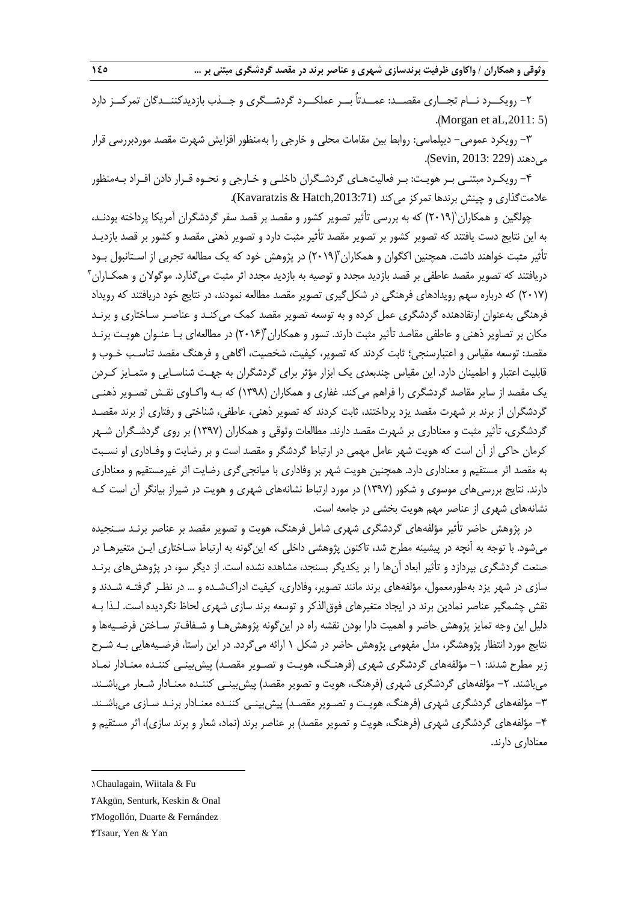-2 رویکــرد نــام تجــاری مقصــد: عمــدتاً بــر عملکــرد گردشــگری و جــذب بازدیدکننــدگان تمرکــز دارد .(Morgan et aL, 2011: 5)

-3 رویکرد عمومی- دیپلماسی: رواب بین مقامات محلی و خارجی را بهمنظور افزایش شهرت مقصد موردبررسی قرار می دهند (Sevin, 2013: 229).

-4 رویکـرد مبتنـی بـر هویـت: بـر فعالیتهـای گردشـگران داخلـی و خـارجی و نحـوه قـرار دادن افـراد بـهمنظور عالمتگذاری و چینش برندها تمرکز میکند (,2013:71Hatch & Kavaratzis(.

چولگین و همکاران`(۲۰۱۹) که به بررسی تأثیر تصویر کشور و مقصد بر قصد سفر گردشگران آمریکا پرداخته بودنـد، به این نتایج دست یافتند که تصویر کشور بر تصویر مقصد تأثیر مثبت دارد و تصویر ذهنی مقصد و کشور بر قصد بازدیـد تأثیر مثبت خواهند داشت. همچنین اکگوان و همکاران ۲۰۱۹) در پژوهش خود که یک مطالعه تجربی از اسـتانبول بـود دریافتند که تصویر مقصد عاطفی بر قصد بازدید مجدد و توصیه به بازدید مجدد اثر مثبت میگذارد. موگولان و همکـاران<sup>۳</sup> )2017( که درباره سهم رویدادهای فرهنگی در شکلگیری تصویر مقصد مطالعه نمودند، در نتایج خود دریافتند که رویداد فرهنگی بهعنوان ارتقادهنده گردشگری عمل کرده و به توسعه تصویر مقصد کمک میکنـد و عناصـر سـاختاری و برنـد مکان بر تصاویر ذهنی و عاطفی مقاصد تأثیر مثبت دارند. تسور و همکاران ۲۰۱۶)ْ در مطالعهای بـا عنـوان هویـت برنـد مقصد: توسعه مقیاس و اعتبارسنجی؛ ثابت کردند که تصویر، کیفیت، شخصیت، آگاهی و فرهنگ مقصد تناسـب خـوب و قابلیت اعتبار و اطمینان دارد. این مقیاس چندبعدی یک ابزار مؤثر برای گردشگران به جهـت شناسـایی و متمـایز کـردن یک مقصد از سایر مقاصد گردشگری را فراهم میکند. غفاری و همکاران )1398( که بـه واکـاوی نقـش تصـویر ذهنـی گردشگران از برند بر شهرت مقصد یزد پرداختند، ثابت کردند که تصویر ذهنی، عاطفی، شناختی و رفتاری از برند مقصـد گردشگری، تأثیر مثبت و معناداری بر شهرت مقصد دارند. مطالعات وثوقی و همکاران )1397( بر روی گردشـگران شـهر کرمان حاکی از آن است که هویت شهر عامل مهمی در ارتباط گردشگر و مقصد است و بر رضایت و وفـاداری او نسـبت به مقصد اثر مستقیم و معناداری دارد. همچنین هویت شهر بر وفاداری با میانجیگری رضایت اثر غیرمستقیم و معناداری دارند. نتایج بررسیهای موسوی و شکور )1397( در مورد ارتباط نشانههای شهری و هویت در شیراز بیانگر آن است کـه نشانههای شهری از عناصر مهم هویت بخشی در جامعه است.

در پژوهش حاضر تأثیر مؤلفههای گردشگری شهری شامل فرهنگ، هویت و تصویر مقصد بر عناصر برنـد سـنجیده میشود. با توجه به آنچه در پیشینه مطرح شد، تاکنون پژوهشی داخلی که اینگونه به ارتباط سـاختاری ایـن متغیرهـا در صنعت گردشگری بپردازد و تأثیر ابعاد آنها را بر یکدیگر بسنجد، مشاهده نشده است. از دیگر سو، در پژوهشهای برنـد سازی در شهر یزد بهطورمعمول، مؤلفههای برند مانند تصویر، وفاداری، کیفیت ادراكشـده و ... در نظـر گرفتـه شـدند و نقش چشمگیر عناصر نمادین برند در ایجاد متغیرهای فوقالذکر و توسعه برند سازی شهری لحا نگردیده است. لـذا بـه دلیل این وجه تمایز پژوهش حاضر و اهمیت دارا بودن نقشه راه در اینگونه پژوهشهـا و شـفافتر سـاختن فرضـیهها و نتایج مورد انتظار پژوهشگر، مدل مفهومی پژوهش حاضر در شکل 1 ارائه میگردد. در این راستا، فرضـیههایی بـه شـرح زیر مطرح شدند: ۱– مؤلفههای گردشگری شهری (فرهنـگ، هویـت و تصـویر مقصـد) پیش بینـی کننـده معنـادار نمـاد میباشند. ۲– مؤلفههای گردشگری شهری (فرهنگ، هویت و تصویر مقصد) پیش بینـی کننـده معنـادار شـعار میباشـند. -3 مؤلفههای گردشگری شهری )فرهنگ، هویـت و تصـویر مقصـد( پیشبینـی کننـده معنـادار برنـد سـازی میباشـند. -4 مؤلفههای گردشگری شهری )فرهنگ، هویت و تصویر مقصد( بر عناصر برند )نماد، شعار و برند سازی(، اثر مستقیم و معناداری دارند.

**.** 

<sup>1</sup>. Chaulagain, Wiitala & Fu

<sup>2</sup>. Akgün, Senturk, Keskin & Onal

<sup>3</sup>. Mogollón, Duarte & Fernández

<sup>4</sup>. Tsaur, Yen & Yan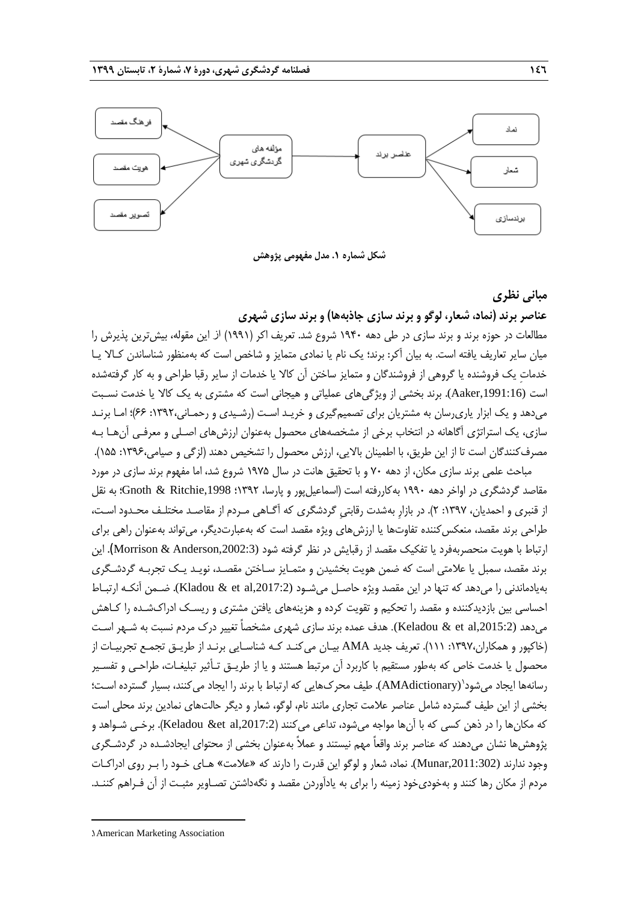

**شکل شماره .1 مدل مفهومی پژوهش**

**مبانی نظری**

**عناصر برند )نماد، شعار، لوگو و برند سازی جاذبهها( و برند سازی شهری**

مطالعات در حوزه برند و برند سازی در طی دهه 1940 شروع شد. تعریف اکر )1991( از این مقوله، بیشترین پذیرش را میان سایر تعاریف یافته است. به بیان آکر: برند؛ یک نام یا نمادی متمایز و شاخص است که بهمنظور شناساندن کـاال یـا خدمات یک فروشنده یا گروهی از فروشندگان و متمایز ساختن آن کالا یا خدمات از سایر رقبا طراحی و به کار گرفتهشده است (,1991:16Aaker(. برند بخشی از ویژگیهای عملیاتی و هیجانی است که مشتری به یک کاال یا خدمت نسـبت میدهد و یک ابزار یاریرسان به مشتریان برای تصمیمگیری و خریـد اسـت )رشـیدی و رحمـانی:1392، 66(؛ امـا برنـد سازی، یک استراتژی آگاهانه در انتخاب برخی از مشخصههای محصول بهعنوان ارزشهای اصـلی و معرفـی آنهـا بـه مصرفکنندگان است تا از این طریق، با اطمینان بالایی، ارزش محصول را تشخیص دهند (لزگی و صیامی،۱۳۹۶: ۱۵۵).

مباحث علمی برند سازی مکان، از دهه ۷۰ و با تحقیق هانت در سال ۱۹۷۵ شروع شد، اما مفهوم برند سازی در مورد مقاصد گردشگری در اواخر دهه 1990 بهکاررفته است )اسماعیلپور و پارسا، 1392؛ ,1998Ritchie & Gnoth؛ به نقل از قنبری و احمدیان، ۱۳۹۷: ۲). در بازار بهشدت رقابتی گردشگری که آگـاهی مـردم از مقاصـد مختلـف محـدود اسـت، طراحی برند مقصد، منعکس کننده تفاوتها یا ارزشهای ویژه مقصد است که بهعبارتدیگر، میتواند بهعنوان راهی برای ارتباط با هویت منحصربهفرد یا تفکیک مقصد از رقبایش در نظر گرفته شود (,2002:3Anderson & Morrison(. این برند مقصد، سمبل یا عالمتی است که ضمن هویت بخشیدن و متمـایز سـاختن مقصـد، نویـد یـک تجربـه گردشـگری بهیادماندنی را میدهد که تنها در این مقصد ویژه حاصـل میشـود (,2017:2al et & Kladou(. ضـمن آنکـه ارتبـاط احساسی بین بازدیدکننده و مقصد را تحکیم و تقویت کرده و هزینههای یافتن مشتری و ریسـک ادراكشـده را کـاهش میدهد (Keladou & et al,2015:2). هدف عمده برند سازی شهری مشخصاً تغییر درک مردم نسبت به شـهر اسـت )خاکپور و همکاران:1397، 111(. تعریف جدید AMA بیـان میکنـد کـه شناسـایی برنـد از طریـق تجمـع تجربیـات از محصول یا خدمت خاص که بهطور مستقیم با کاربرد آن مرتبط هستند و یا از طریـق تـأثیر تبلیغـات، طراحـی و تفسـیر رسانهها ایجاد میشود`(AMAdictionary). طیف محرکهایی که ارتباط با برند را ایجاد میکنند، بسیار گسترده اسـت؛ بخشی از این طیف گسترده شامل عناصر عالمت تجاری مانند نام، لوگو، شعار و دیگر حالتهای نمادین برند محلی است که مکانها را در ذهن کسی که با آنها مواجه میشود، تداعی میکنند (Keladou &et al,2017:2). برخـی شـواهد و پژوهشها نشان میدهند که عناصر برند واقعاً مهم نیستند و عمالً بهعنوان بخشی از محتوای ایجادشـده در گردشـگری وجود ندارند (,2011:302Munar(. نماد، شعار و لوگو این قدرت را دارند که »عالمت« هـای خـود را بـر روی ادراکـات مردم از مکان رها کنند و بهخودیخود زمینه را برای به یادآوردن مقصد و نگهداشتن تصـاویر مثبـت از آن فـراهم کننـد.

1

<sup>1</sup>. American Marketing Association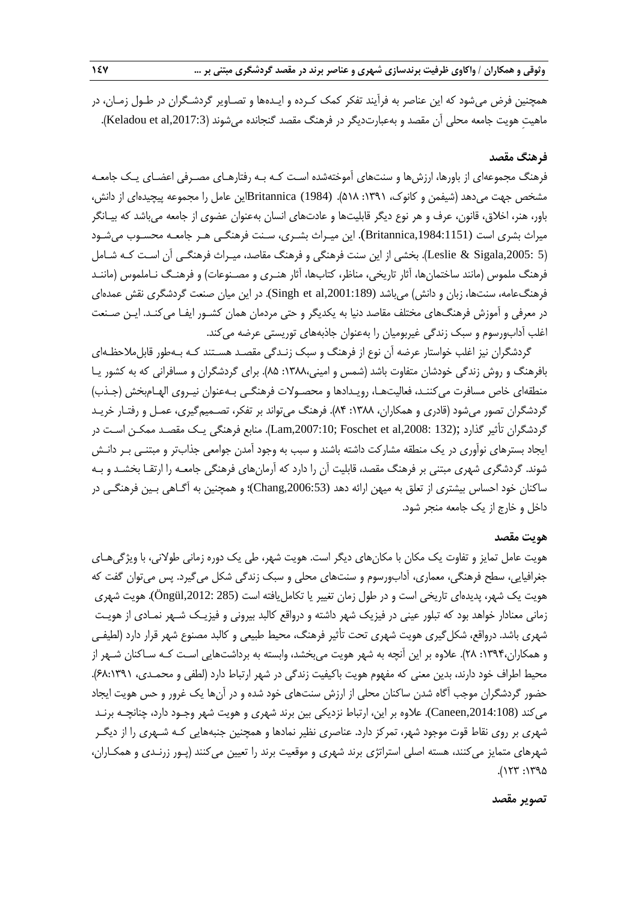همچنین فرض میشود که این عناصر به فرآیند تفکر کمک کـرده و ایـدهها و تصـاویر گردشـگران در طـول زمـان، در ماهیت هویت جامعه محلی آن مقصد و بهعبارتدیگر در فرهنگ مقصد گنجانده میشوند (Keladou et al,2017:3).

# **فرهنگ مقصد**

فرهنگ مجموعهای از باورها، ارزشها و سنتهای آموختهشده اسـت کـه بـه رفتارهـای مصـرفی اعضـای یـک جامعـه مشخص جهت میدهد )شیفمن و کانوك، :1391 518(. (1984) Britannicaاین عامل را مجموعه پیچیدهای از دانش، باور، هنر، اخالق، قانون، عرف و هر نوع دیگر قابلیتها و عادتهای انسان بهعنوان عضوی از جامعه میباشد که بیـانگر میراث بشری است (,1984:1151Britannica(. این میـراث بشـری، سـنت فرهنگـی هـر جامعـه محسـوب میشـود )5 ,2005:Sigala & Leslie). بخشی از این سنت فرهنگی و فرهنگ مقاصد، میـراث فرهنگـی آن اسـت کـه شـامل فرهنگ ملموس (مانند ساختمانها، آثار تاریخی، مناظر، کتابها، آثار هنـری و مصـنوعات) و فرهنـگ نـاملموس (ماننـد فرهنگءامه، سنتها، زبان و دانش) میباشد (Singh et al,2001:189). در این میان صنعت گردشگری نقش عمدهای در معرفی و آموزش فرهنگهای مختلف مقاصد دنیا به یکدیگر و حتی مردمان همان کشـور ایفـا میکنـد. ایـن صـنعت اغلب آدابورسوم و سبک زندگی غیربومیان را بهعنوان جاذبههای توریستی عرضه میکند.

گردشگران نیز اغلب خواستار عرضه آن نوع از فرهنگ و سبک زنـدگی مقصـد هسـتند کـه بـهطور قابلمالحظـهای بافرهنگ و روش زندگی خودشان متفاوت باشد )شمس و امینی:1388، 85(. برای گردشگران و مسافرانی که به کشور یـا منطقهای خاص مسافرت میکننـد، فعالیتهـا، رویـدادها و محصـوالت فرهنگـی بـهعنوان نیـروی الهـامبخش )جـذب( گردشگران تصور میشود (قادری و همکاران، ۱۳۸۸: ۸۴). فرهنگ میتواند بر تفکر، تصـمیمگیری، عمـل و رفتـار خریـد گردشگران تأثیر گذارد ;(132 ,2008:al et Foschet; ,2007:10Lam). منابع فرهنگی یـک مقصـد ممکـن اسـت در ایجاد بسترهای نوآوری در یک منطقه مشارکت داشته باشند و سبب به وجود آمدن جوامعی جذابتر و مبتنـی بـر دانـش شوند. گردشگری شهری مبتنی بر فرهنگ مقصد، قابلیت آن را دارد که آرمانهای فرهنگی جامعـه را ارتقـا بخشـد و بـه ساکنان خود احساس بیشتری از تعلق به میهن ارائه دهد (,2006:53Chang(؛ و همچنین به آگـاهی بـین فرهنگـی در داخل و خارج از یک جامعه منجر شود.

# **هویت مقصد**

هویت عامل تمایز و تفاوت یک مکان با مکانهای دیگر است. هویت شهر، طی یک دوره زمانی طوالنی، با ویژگیهـای جغرافیایی، سطح فرهنگی، معماری، آدابورسوم و سنتهای محلی و سبک زندگی شکل میگیرد. پس میتوان گفت که هویت یک شهر، پدیدهای تاریخی است و در طول زمان تغییر یا تکاملیافته است (285 ,2012:Öngül(. هویت شهری زمانی معنادار خواهد بود که تبلور عینی در فیزیک شهر داشته و درواقع کالبد بیرونی و فیزیـک شـهر نمـادی از هویـت شهری باشد. درواقع، شکل گیری هویت شهری تحت تأثیر فرهنگ، محیط طبیعی و کالبد مصنوع شهر قرار دارد (لطیفـی و همکاران:1394، 28(. عالوه بر این آنچه به شهر هویت میبخشد، وابسته به برداشتهایی اسـت کـه سـاکنان شـهر از محیط اطراف خود دارند، بدین معنی که مفهوم هویت باکیفیت زندگی در شهر ارتباط دارد (لطفی و محمـدی، ۶۸:۱۳۹۱). حضور گردشگران موجب آگاه شدن ساکنان محلی از ارزش سنتهای خود شده و در آنها یک غرور و حس هویت ایجاد میکند (,2014:108Caneen(. عالوه بر این، ارتباط نزدیکی بین برند شهری و هویت شهر وجـود دارد، چنانچـه برنـد شهری بر روی نقاط قوت موجود شهر، تمرکز دارد. عناصری نظیر نمادها و همچنین جنبههایی کـه شـهری را از دیگـر شهرهای متمایز میکنند، هسته اصلی استراتژی برند شهری و موقعیت برند را تعیین میکنند )پـور زرنـدی و همکـاران،  $0.177$ : 179

#### **تصویر مقصد**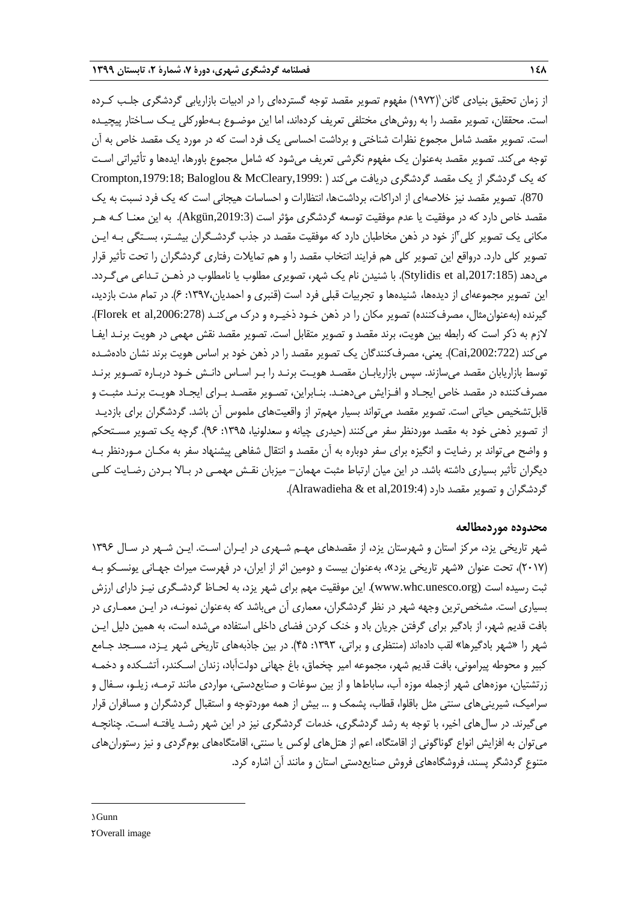ٔز زمان تحقیق بنیادی گانن'(۱۹۷۲) مفهوم تصویر مقصد توجه گستردهای را در ادبیات بازاریابی گردشگری جلـب کـرده است. محققان، تصویر مقصد را به روشهای مختلفی تعریف کردهاند، اما این موضـوع بـهطورکلی یـک سـاختار پیچیـده است. تصویر مقصد شامل مجموع نظرات شناختی و برداشت احساسی یک فرد است که در مورد یک مقصد خاص به آن توجه میکند. تصویر مقصد بهعنوان یک مفهوم نگرشی تعریف میشود که شامل مجموع باورها، ایدهها و تأثیراتی اسـت که یک گردشگر از یک مقصد گردشگری دریافت میکند ( :Crompton,1979:18; Baloglou & McCleary,1999 870). تصویر مقصد نیز خلاصهای از ادراکات، برداشتها، انتظارات و احساسات هیجانی است که یک فرد نسبت به یک مقصد خاص دارد که در موفقیت یا عدم موفقیت توسعه گردشگری مؤثر است ),2019:3Akgün). به این معنـا کـه هـر مکانی یک تصویر کلی"از خود در ذهن مخاطبان دارد که موفقیت مقصد در جذب گردشـگران بیشـتر، بسـتگی بـه ایـن تصویر کلی دارد. درواقع این تصویر کلی هم فرایند انتخاب مقصد را و هم تمایالت رفتاری گردشگران را تحت تأثیر قرار میدهد ),2017:185al et Stylidis). با شنیدن نام یک شهر، تصویری مطلوب یا نامطلوب در ذهـن تـداعی میگـردد. این تصویر مجموعهای از دیدهها، شنیدهها و تجربیات قبلی فرد است (قنبری و احمدیان،۱۳۹۷: ۶). در تمام مدت بازدید، گیرنده (بهعنوان مثال، مصرفکننده) تصویر مکان را در ذهن خـود ذخیـره و درک می کنـد (Florek et al,2006:278). الزم به ذکر است که رابطه بین هویت، برند مقصد و تصویر متقابل است. تصویر مقصد نقش مهمی در هویت برنـد ایفـا میکند ),2002:722Cai). یعنی، مصرفکنندگان یک تصویر مقصد را در ذهن خود بر اساس هویت برند نشان دادهشـده توسط بازاریابان مقصد میسازند. سپس بازاریابـان مقصـد هویـت برنـد را بـر اسـاس دانـش خـود دربـاره تصـویر برنـد مصرفکننده در مقصد خاص ایجـاد و افـزایش میدهنـد. بنـابراین، تصـویر مقصـد بـرای ایجـاد هویـت برنـد مثبـت و قابلتشخیص حیاتی است. تصویر مقصد میتواند بسیار مهمتر از واقعیتهای ملموس آن باشد. گردشگران برای بازدیـد از تصویر ذهنی خود به مقصد موردنظر سفر میکنند (حیدری چیانه و سعدلونیا، ۱۳۹۵: ۹۶). گرچه یک تصویر مسـتحکم و واضح میتواند بر رضایت و انگیزه برای سفر دوباره به آن مقصد و انتقال شفاهی پیشنهاد سفر به مکـان مـوردنظر بـه دیگران تأثیر بسیاری داشته باشد. در این میان ارتباط مثبت مهمان- میزبان نقـش مهمـی در بـاال بـردن رضـایت کلـی گردشگران و تصویر مقصد دارد (Alrawadieha & et al,2019:4).

# **محدوده موردمطالعه**

شهر تاریخی یزد، مرکز استان و شهرستان یزد، از مقصدهای مهـم شـهری در ایـران اسـت. ایـن شـهر در سـال 1396 )2017(، تحت عنوان »شهر تاریخی یزد«، بهعنوان بیست و دومین اثر از ایران، در فهرست میراث جهـانی یونسـکو بـه ثبت رسیده است (www.whc.unesco.org). این موفقیت مهم برای شهر یزد، به لحـاظ گردشـگری نیـز دارای ارزش بسیاری است. مشخصترین وجهه شهر در نظر گردشگران، معماری آن میباشد که بهعنوان نمونـه، در ایـن معمـاری در بافت قدیم شهر، از بادگیر برای گرفتن جریان باد و خنک کردن فضای داخلی استفاده میشده است، به همین دلیل ایـن شهر را »شهر بادگیرها« لقب دادهاند )منتظری و براتی، :1393 45(. در بین جاذبههای تاریخی شهر یـزد، مسـجد جـامع کبیر و محوطه پیرامونی، بافت قدیم شهر، مجموعه امیر چخماق، باغ جهانی دولتآباد، زندان اسـکندر، آتشـکده و دخمـه زرتشتیان، موزههای شهر ازجمله موزه آب، ساباطها و از بین سوغات و صنایعدستی، مواردی مانند ترمـه، زیلـو، سـفال و سرامیک، شیرینیهای سنتی مثل باقلوا، قطاب، پشمک و ... بیش از همه موردتوجه و استقبال گردشگران و مسافران قرار میگیرند. در سالهای اخیر، با توجه به رشد گردشگری، خدمات گردشگری نیز در این شهر رشـد یافتـه اسـت. چنانچـه میتوان به افزایش انواع گوناگونی از اقامتگاه، اعم از هتلهای لوکس یا سنتی، اقامتگاههای بومگردی و نیز رستورانهای متنوع گردشگر پسند، فروشگاههای فروش صنایعدستی استان و مانند آن اشاره کرد.

**.**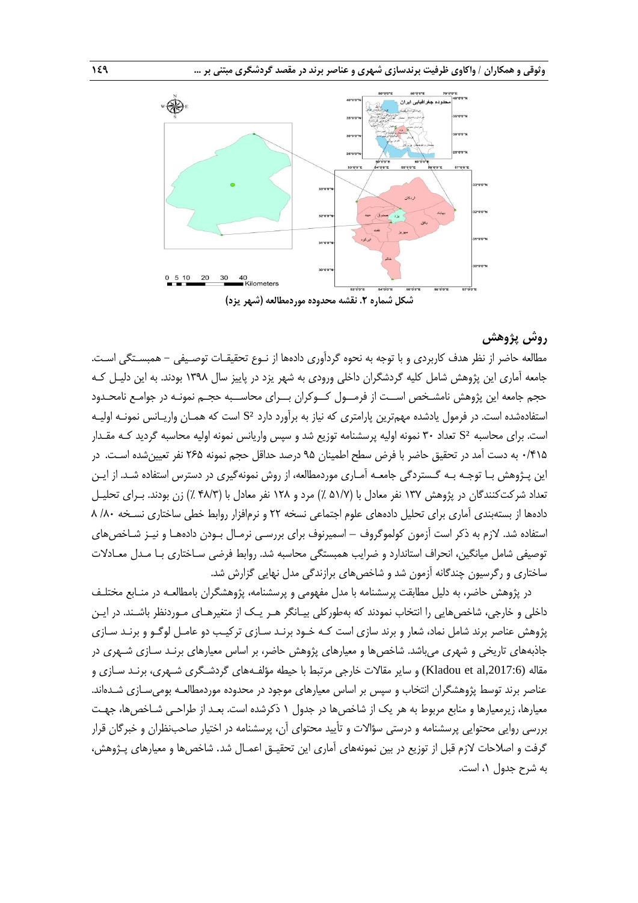

# **روش پژوهش**

مطالعه حاضر از نظر هدف کاربردی و با توجه به نحوه گردآوری دادهها از نـوع تحقیقـات توصـیفی - همبسـتگی اسـت. جامعه آماری این پژوهش شامل کلیه گردشگران داخلی ورودی به شهر یزد در پاییز سال 1398 بودند. به این دلیـل کـه حجم جامعه این پژوهش نامشـخص اســت از فرمــول کــوکران بــرای محاســبه حجـم نمونـه در جوامـع نامحـدود استفادهشده است. در فرمول یادشده مهمترین پارامتری که نیاز به برآورد دارد ²S است که همـان واریـانس نمونـه اولیـه است. برای محاسبه ²S تعداد 30 نمونه اولیه پرسشنامه توزیع شد و سپس واریانس نمونه اولیه محاسبه گردید کـه مقـدار 0/415 به دست آمد در تحقیق حاضر با فرض سطح اطمینان 95 درصد حداقل حجم نمونه 265 نفر تعیینشده اسـت. در این پـژوهش بـا توجـه بـه گـستردگی جامعـه آمـاری موردمطالعه، از روش نمونهگیری در دسترس استفاده شـد. از ایـن تعداد شرکتکنندگان در پژوهش ۱۳۷ نفر معادل با (۵۱/۷ ٪) مرد و ۱۲۸ نفر معادل با (۴۸/۳ ٪) زن بودند. بـرای تحلیـل دادهها از بستهبندی آماری برای تحلیل دادههای علوم اجتماعی نسخه ٢٢ و نرمافزار روابط خطی ساختاری نسخه ٨/٨٠ ٨ استفاده شد. الزم به ذکر است آزمون کولموگروف – اسمیرنوف برای بررسـی نرمـال بـودن دادههـا و نیـز شـاخصهای توصیفی شامل میانگین، انحراف استاندارد و ضرایب همبستگی محاسبه شد. روابط فرضی سـاختاری بـا مـدل معـادلات ساختاری و رگرسیون چندگانه آزمون شد و شاخصهای برازندگی مدل نهایی گزارش شد.

در پژوهش حاضر، به دلیل مطابقت پرسشنامه با مدل مفهومی و پرسشنامه، پژوهشگران بامطالعـه در منـابع مختلـف داخلی و خارجی، شاخصهایی را انتخاب نمودند که بهطورکلی بیـانگر هـر یـک از متغیرهـای مـوردنظر باشـند. در ایـن پژوهش عناصر برند شامل نماد، شعار و برند سازی است کـه خـود برنـد سـازی ترکیـب دو عامـل لوگـو و برنـد سـازی جاذبههای تاریخی و شهری میباشد. شاخصها و معیارهای پژوهش حاضر، بر اساس معیارهای برنـد سـازی شـهری در مقاله (Kladou et al,2017:6) و سایر مقالات خارجی مرتبط با حیطه مؤلفـههای گردشـگری شـهری، برنـد سـازی و عناصر برند توسط پژوهشگران انتخاب و سپس بر اساس معیارهای موجود در محدوده موردمطالعـه بومی<code>سـازی</code> شـدهاند. معیارها، زیرمعیارها و منابع مربوط به هر یک از شاخصها در جدول 1 ذکرشده است. بعـد از طراحـی شـاخصها، جهـت بررسی روایی محتوایی پرسشنامه و درستی سؤاالت و تأیید محتوای آن، پرسشنامه در اختیار صاحبنظران و خبرگان قرار گرفت و اصالحات الزم قبل از توزیع در بین نمونههای آماری این تحقیـق اعمـال شد. شاخصها و معیارهای پـژوهش، به شرح جدول ،1 است.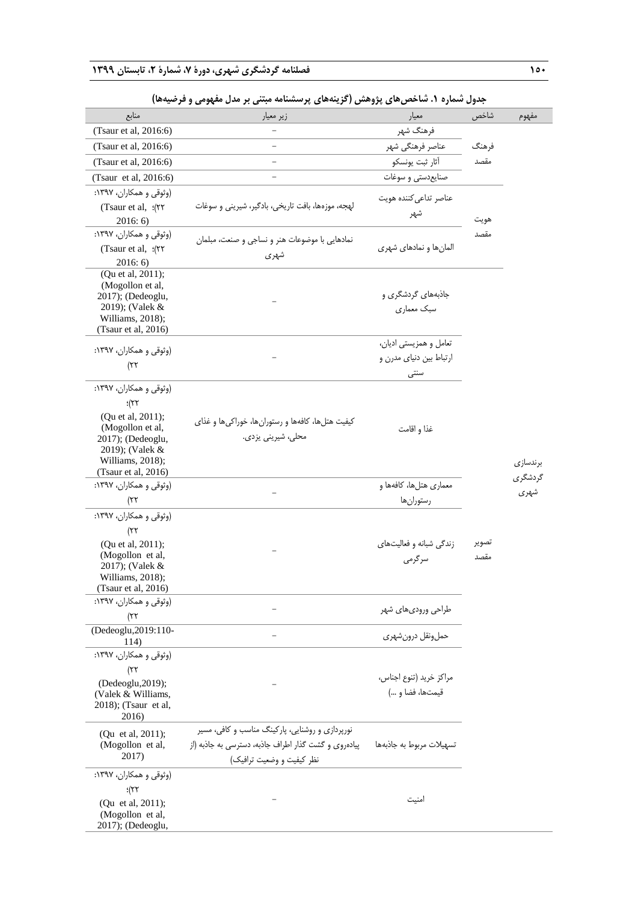| منابع                                          | زیر معیار                                            | معيار                    | شاخص  | مفهوم    |
|------------------------------------------------|------------------------------------------------------|--------------------------|-------|----------|
| (Tsaur et al, 2016:6)                          |                                                      | فرهنگ شهر                |       |          |
| (Tsaur et al, 2016:6)                          | L.                                                   | عناصر فرهنگي شهر         | فرهنگ |          |
| (Tsaur et al, 2016:6)                          |                                                      | أثار ثبت يونسكو          | مقصد  |          |
| (Tsaur et al, 2016:6)                          |                                                      | صنايع دستى و سوغات       |       |          |
| (وثوقی و همکاران، ۱۳۹۷:                        |                                                      | عناصر تداعى كننده هويت   |       |          |
| (Tsaur et al, :(٢٢                             | لهجه، موزهها، بافت تاريخي، بادگير، شيريني و سوغات    | شهر                      |       |          |
| 2016:6                                         |                                                      |                          | هويت  |          |
| (وثوقي و همكاران، ١٣٩٧:                        | نمادهایی با موضوعات هنر و نساجی و صنعت، مبلمان       |                          | مقصد  |          |
| (Tsaur et al, :(٢٢                             | شهرى                                                 | المانها و نمادهای شهری   |       |          |
| 2016:6<br>(Qu et al, 2011);                    |                                                      |                          |       |          |
| (Mogollon et al,                               |                                                      |                          |       |          |
| 2017); (Dedeoglu,                              |                                                      | جاذبههای گردشگری و       |       |          |
| 2019); (Valek &<br>Williams, 2018);            |                                                      | سبک معماری               |       |          |
| (Tsaur et al, 2016)                            |                                                      |                          |       |          |
| (وثوقی و همکاران، ۱۳۹۷:                        |                                                      | تعامل و همزیستی ادیان،   |       |          |
|                                                |                                                      | ارتباط بین دنیای مدرن و  |       |          |
| ۲۲)                                            |                                                      | سنتى                     |       |          |
| (وثوقي و همكاران، ١٣٩٧:                        |                                                      |                          |       |          |
| $\frac{1}{2}$                                  |                                                      |                          |       |          |
| (Qu et al, 2011);                              | کیفیت هتلها، کافهها و رستورانها، خوراکیها و غذای     |                          |       |          |
| (Mogollon et al,<br>2017); (Dedeoglu,          | محلی، شیرینی یزدی.                                   | غذا و اقامت              |       |          |
| 2019); (Valek &                                |                                                      |                          |       |          |
| Williams, 2018);                               |                                                      |                          |       | برندسازى |
| (Tsaur et al, 2016)                            |                                                      |                          |       | گردشگری  |
| (وثوقي و همكاران، ١٣٩٧:                        |                                                      | معماری هتلها، کافهها و   |       | شهري     |
| ۲۲)                                            |                                                      | رستوران ها               |       |          |
| (وثوقى و همكاران، ١٣٩٧:                        |                                                      |                          |       |          |
| ۲۲)                                            |                                                      | زندگی شبانه و فعالیتهای  | تصوير |          |
| (Qu et al, 2011);<br>(Mogollon et al,          |                                                      | سرگرمی                   | مقصد  |          |
| 2017); (Valek &                                |                                                      |                          |       |          |
| Williams, 2018);                               |                                                      |                          |       |          |
| (Tsaur et al, 2016)<br>(وثوقی و همکاران، ۱۳۹۷: |                                                      |                          |       |          |
| ۲۲)                                            |                                                      | طراحی ورودیهای شهر       |       |          |
| (Dedeoglu, 2019:110-                           |                                                      |                          |       |          |
| 114)                                           |                                                      | حمل ونقل درون شهرى       |       |          |
| (وثوقی و همکاران، ۱۳۹۷:                        |                                                      |                          |       |          |
| ۲۲)                                            |                                                      | مراکز خرید (تنوع اجناس،  |       |          |
| (Dedeoglu, 2019);                              |                                                      | قيمتها، فضا و )          |       |          |
| (Valek & Williams,<br>2018); (Tsaur et al,     |                                                      |                          |       |          |
| 2016)                                          |                                                      |                          |       |          |
| (Qu et al, 2011);                              | نورپردازی و روشنایی، پارکینگ مناسب و کافی، مسیر      |                          |       |          |
| (Mogollon et al,                               | پیادهروی و گشت گذار اطراف جاذبه، دسترسی به جاذبه (از | تسهيلات مربوط به جاذبهها |       |          |
| 2017)                                          | نظر کیفیت و وضعیت ترافیک)                            |                          |       |          |
| (وثوقي و همكاران، ۱۳۹۷:                        |                                                      |                          |       |          |
| $\frac{1}{2}$                                  |                                                      |                          |       |          |
| (Qu et al, 2011);                              |                                                      | امنيت                    |       |          |
| (Mogollon et al,<br>2017); (Dedeoglu,          |                                                      |                          |       |          |
|                                                |                                                      |                          |       |          |

# **جدول شماره .1 شاخصهای پژوهش )گزینههای پرسشنامه مبتنی بر مدل مفهومی و فرضیهها(**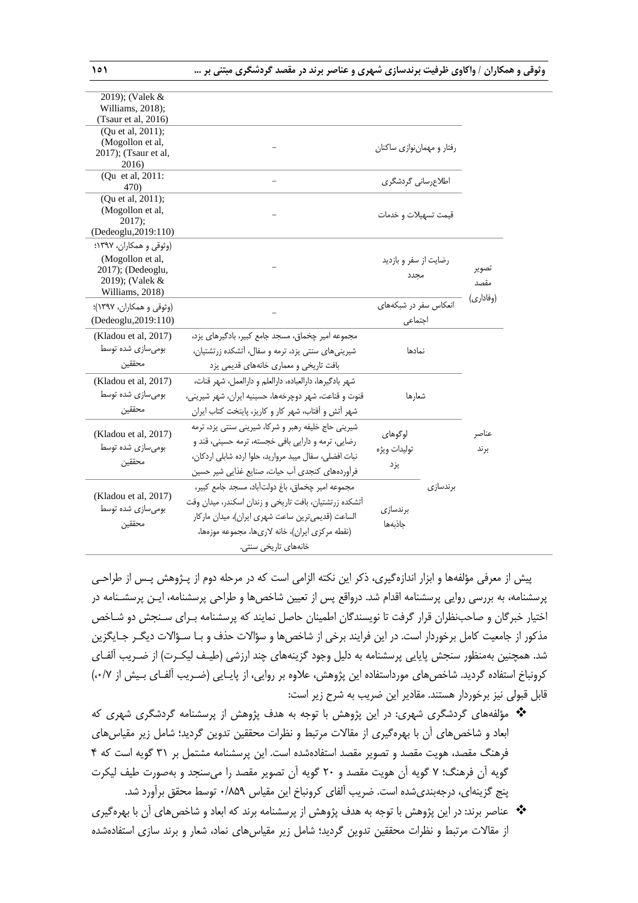| 2019); (Valek &<br>Williams, 2018);<br>(Tsaur et al, $2016$ )<br>(Qu et al, 2011);<br>(Mogollon et al,<br>رفتار و مهماننوازی ساکنان<br>2017); (Tsaur et al,<br>2016)<br>(Qu et al, 2011:<br>اطلاع رسانی گردشگری<br>47 <sub>0</sub><br>(Qu et al, 2011);<br>(Mogollon et al,<br>قیمت تسهیلات و خدمات<br>$2017$ ;<br>(Dedeoglu, 2019:110)<br>(وثوقی و همکاران، ۱۳۹۷؛<br>(Mogollon et al,<br>رضایت از سفر و بازدید<br>تصوير<br>2017); (Dedeoglu,<br>مجدد<br>2019); (Valek &<br>مقصد<br>Williams, 2018)<br>(وفاداري)<br>انعکاس سفر در شبکههای<br>(وثوقی و همکاران، ۱۳۹۷)؛<br>(Dedeoglu, 2019:110)<br>اجتماعى<br>مجموعه امیر چخماق، مسجد جامع کبیر، بادگیرهای یزد،<br>(Kladou et al, 2017)<br>بومیسازی شده توسط<br>شیرینیهای سنتی یزد، ترمه و سفال، آتشکده زرتشتیان،<br>نمادها<br>محققين<br>بافت تاریخی و معماری خانههای قدیمی یزد<br>شهر بادگیرها، دارالعباده، دارالعلم و دارالعمل، شهر قنات،<br>(Kladou et al, 2017)<br>بومیسازی شده توسط<br>قنوت و قناعت، شهر دوچرخهها، حسینیه ایران، شهر شیرینی،<br>شعارها<br>محققين<br>شهر آتش و آفتاب، شهر كار و كاريز، پايتخت كتاب ايران<br>شیرینی حاج خلیفه رهبر و شرکا، شیرینی سنتی یزد، ترمه<br>لوگوهای<br>(Kladou et al, 2017)<br>عناصر<br>رضایی، ترمه و دارایی بافی خجسته، ترمه حسینی، قند و<br>بومیسازی شده توسط<br>توليدات ويژه<br>بر ند<br>نبات افضلي، سفال ميبد مرواريد، حلوا ارده شابلي اردكان،<br>محققين<br>يزد<br>فرأوردههای کنجدی آب حیات، صنایع غذایی شیر حسین<br>مجموعه امير چخماق، باغ دولت آباد، مسجد جامع كبير،<br>برندسازى<br>(Kladou et al, 2017)<br>آتشکده زرتشتیان، بافت تاریخی و زندان اسکندر، میدان وقت<br>بومیسازی شده توسط<br>برندسازى<br>الساعت (قدیمیترین ساعت شهری ایران)، میدان ماركار<br>محققين<br>جاذبهها<br>(نقطه مركزى ايران)، خانه لارىها، مجموعه موزهها،<br>خانەھا <i>ی</i> تاریخی سنتی. |  |  |  |  |
|----------------------------------------------------------------------------------------------------------------------------------------------------------------------------------------------------------------------------------------------------------------------------------------------------------------------------------------------------------------------------------------------------------------------------------------------------------------------------------------------------------------------------------------------------------------------------------------------------------------------------------------------------------------------------------------------------------------------------------------------------------------------------------------------------------------------------------------------------------------------------------------------------------------------------------------------------------------------------------------------------------------------------------------------------------------------------------------------------------------------------------------------------------------------------------------------------------------------------------------------------------------------------------------------------------------------------------------------------------------------------------------------------------------------------------------------------------------------------------------------------------------------------------------------------------------------------------------------------------------------------------------------------------------------------------------------------------------------------------------------------------------|--|--|--|--|
|                                                                                                                                                                                                                                                                                                                                                                                                                                                                                                                                                                                                                                                                                                                                                                                                                                                                                                                                                                                                                                                                                                                                                                                                                                                                                                                                                                                                                                                                                                                                                                                                                                                                                                                                                                |  |  |  |  |
|                                                                                                                                                                                                                                                                                                                                                                                                                                                                                                                                                                                                                                                                                                                                                                                                                                                                                                                                                                                                                                                                                                                                                                                                                                                                                                                                                                                                                                                                                                                                                                                                                                                                                                                                                                |  |  |  |  |
|                                                                                                                                                                                                                                                                                                                                                                                                                                                                                                                                                                                                                                                                                                                                                                                                                                                                                                                                                                                                                                                                                                                                                                                                                                                                                                                                                                                                                                                                                                                                                                                                                                                                                                                                                                |  |  |  |  |
|                                                                                                                                                                                                                                                                                                                                                                                                                                                                                                                                                                                                                                                                                                                                                                                                                                                                                                                                                                                                                                                                                                                                                                                                                                                                                                                                                                                                                                                                                                                                                                                                                                                                                                                                                                |  |  |  |  |
|                                                                                                                                                                                                                                                                                                                                                                                                                                                                                                                                                                                                                                                                                                                                                                                                                                                                                                                                                                                                                                                                                                                                                                                                                                                                                                                                                                                                                                                                                                                                                                                                                                                                                                                                                                |  |  |  |  |
|                                                                                                                                                                                                                                                                                                                                                                                                                                                                                                                                                                                                                                                                                                                                                                                                                                                                                                                                                                                                                                                                                                                                                                                                                                                                                                                                                                                                                                                                                                                                                                                                                                                                                                                                                                |  |  |  |  |
|                                                                                                                                                                                                                                                                                                                                                                                                                                                                                                                                                                                                                                                                                                                                                                                                                                                                                                                                                                                                                                                                                                                                                                                                                                                                                                                                                                                                                                                                                                                                                                                                                                                                                                                                                                |  |  |  |  |
|                                                                                                                                                                                                                                                                                                                                                                                                                                                                                                                                                                                                                                                                                                                                                                                                                                                                                                                                                                                                                                                                                                                                                                                                                                                                                                                                                                                                                                                                                                                                                                                                                                                                                                                                                                |  |  |  |  |
|                                                                                                                                                                                                                                                                                                                                                                                                                                                                                                                                                                                                                                                                                                                                                                                                                                                                                                                                                                                                                                                                                                                                                                                                                                                                                                                                                                                                                                                                                                                                                                                                                                                                                                                                                                |  |  |  |  |
|                                                                                                                                                                                                                                                                                                                                                                                                                                                                                                                                                                                                                                                                                                                                                                                                                                                                                                                                                                                                                                                                                                                                                                                                                                                                                                                                                                                                                                                                                                                                                                                                                                                                                                                                                                |  |  |  |  |
|                                                                                                                                                                                                                                                                                                                                                                                                                                                                                                                                                                                                                                                                                                                                                                                                                                                                                                                                                                                                                                                                                                                                                                                                                                                                                                                                                                                                                                                                                                                                                                                                                                                                                                                                                                |  |  |  |  |
|                                                                                                                                                                                                                                                                                                                                                                                                                                                                                                                                                                                                                                                                                                                                                                                                                                                                                                                                                                                                                                                                                                                                                                                                                                                                                                                                                                                                                                                                                                                                                                                                                                                                                                                                                                |  |  |  |  |
|                                                                                                                                                                                                                                                                                                                                                                                                                                                                                                                                                                                                                                                                                                                                                                                                                                                                                                                                                                                                                                                                                                                                                                                                                                                                                                                                                                                                                                                                                                                                                                                                                                                                                                                                                                |  |  |  |  |
|                                                                                                                                                                                                                                                                                                                                                                                                                                                                                                                                                                                                                                                                                                                                                                                                                                                                                                                                                                                                                                                                                                                                                                                                                                                                                                                                                                                                                                                                                                                                                                                                                                                                                                                                                                |  |  |  |  |
|                                                                                                                                                                                                                                                                                                                                                                                                                                                                                                                                                                                                                                                                                                                                                                                                                                                                                                                                                                                                                                                                                                                                                                                                                                                                                                                                                                                                                                                                                                                                                                                                                                                                                                                                                                |  |  |  |  |
|                                                                                                                                                                                                                                                                                                                                                                                                                                                                                                                                                                                                                                                                                                                                                                                                                                                                                                                                                                                                                                                                                                                                                                                                                                                                                                                                                                                                                                                                                                                                                                                                                                                                                                                                                                |  |  |  |  |
|                                                                                                                                                                                                                                                                                                                                                                                                                                                                                                                                                                                                                                                                                                                                                                                                                                                                                                                                                                                                                                                                                                                                                                                                                                                                                                                                                                                                                                                                                                                                                                                                                                                                                                                                                                |  |  |  |  |
|                                                                                                                                                                                                                                                                                                                                                                                                                                                                                                                                                                                                                                                                                                                                                                                                                                                                                                                                                                                                                                                                                                                                                                                                                                                                                                                                                                                                                                                                                                                                                                                                                                                                                                                                                                |  |  |  |  |
|                                                                                                                                                                                                                                                                                                                                                                                                                                                                                                                                                                                                                                                                                                                                                                                                                                                                                                                                                                                                                                                                                                                                                                                                                                                                                                                                                                                                                                                                                                                                                                                                                                                                                                                                                                |  |  |  |  |
|                                                                                                                                                                                                                                                                                                                                                                                                                                                                                                                                                                                                                                                                                                                                                                                                                                                                                                                                                                                                                                                                                                                                                                                                                                                                                                                                                                                                                                                                                                                                                                                                                                                                                                                                                                |  |  |  |  |
|                                                                                                                                                                                                                                                                                                                                                                                                                                                                                                                                                                                                                                                                                                                                                                                                                                                                                                                                                                                                                                                                                                                                                                                                                                                                                                                                                                                                                                                                                                                                                                                                                                                                                                                                                                |  |  |  |  |
|                                                                                                                                                                                                                                                                                                                                                                                                                                                                                                                                                                                                                                                                                                                                                                                                                                                                                                                                                                                                                                                                                                                                                                                                                                                                                                                                                                                                                                                                                                                                                                                                                                                                                                                                                                |  |  |  |  |
|                                                                                                                                                                                                                                                                                                                                                                                                                                                                                                                                                                                                                                                                                                                                                                                                                                                                                                                                                                                                                                                                                                                                                                                                                                                                                                                                                                                                                                                                                                                                                                                                                                                                                                                                                                |  |  |  |  |
|                                                                                                                                                                                                                                                                                                                                                                                                                                                                                                                                                                                                                                                                                                                                                                                                                                                                                                                                                                                                                                                                                                                                                                                                                                                                                                                                                                                                                                                                                                                                                                                                                                                                                                                                                                |  |  |  |  |
|                                                                                                                                                                                                                                                                                                                                                                                                                                                                                                                                                                                                                                                                                                                                                                                                                                                                                                                                                                                                                                                                                                                                                                                                                                                                                                                                                                                                                                                                                                                                                                                                                                                                                                                                                                |  |  |  |  |
|                                                                                                                                                                                                                                                                                                                                                                                                                                                                                                                                                                                                                                                                                                                                                                                                                                                                                                                                                                                                                                                                                                                                                                                                                                                                                                                                                                                                                                                                                                                                                                                                                                                                                                                                                                |  |  |  |  |
|                                                                                                                                                                                                                                                                                                                                                                                                                                                                                                                                                                                                                                                                                                                                                                                                                                                                                                                                                                                                                                                                                                                                                                                                                                                                                                                                                                                                                                                                                                                                                                                                                                                                                                                                                                |  |  |  |  |

پیش از معرفی مؤلفهها و ابزار اندازهگیری، ذکر این نکته الزامی است که در مرحله دوم از پـژوهش پـس از طراحـی پرسشنامه، به بررسی روایی پرسشنامه اقدام شد. درواقع پس از تعیین شاخصها و طراحی پرسشنامه، ایـن پرسشـنامه در اختیار خبرگان و صاحبنظران قرار گرفت تا نویسندگان اطمینان حاصل نمایند که پرسشنامه بـرای سـنجش دو شـاخص مذکور از جامعیت کامل برخوردار است. در این فرایند برخی از شاخصها و سؤاالت حذف و بـا سـؤاالت دیگـر جـایگزین شد. همچنین بهمنظور سنجش پایایی پرسشنامه به دلیل وجود گزینههای چند ارزشی (طیـف لیکـرت) از ضـریب آلفـای کرونباخ استفاده گردید. شاخصهای مورداستفاده این پژوهش، علاوه بر روایی، از پایـایی (ضـریب آلفـای بـیش از ۰/۷) قابل قبولی نیز برخوردار هستند. مقادیر این ضریب به شرح زیر است:

- مؤلفههای گردشگری شهری: در این پژوهش با توجه به هدف پژوهش از پرسشنامه گردشگری شهری که ابعاد و شاخص های آن با بهرهگیری از مقالات مرتبط و نظرات محققین تدوین گردید؛ شامل زیر مقیاس های فرهنگ مقصد، هویت مقصد و تصویر مقصد استفادهشده است. این پرسشنامه مشتمل بر 31 گویه است که 4 گویه آن فرهنگ؛ 7 گویه آن هویت مقصد و 20 گویه آن تصویر مقصد را میسنجد و بهصورت طیف لیکرت پنج گزینهای، درجهبندیشده است. ضریب آلفای کرونباخ این مقیاس ۸۵۹/۰ توسط محقق برآورد شد.
- عناصر برند: در این پژوهش با توجه به هدف پژوهش از پرسشنامه برند که ابعاد و شاخصهای آن با بهرهگیری از مقالات مرتبط و نظرات محققین تدوین گردید؛ شامل زیر مقیاس های نماد، شعار و برند سازی استفادهشده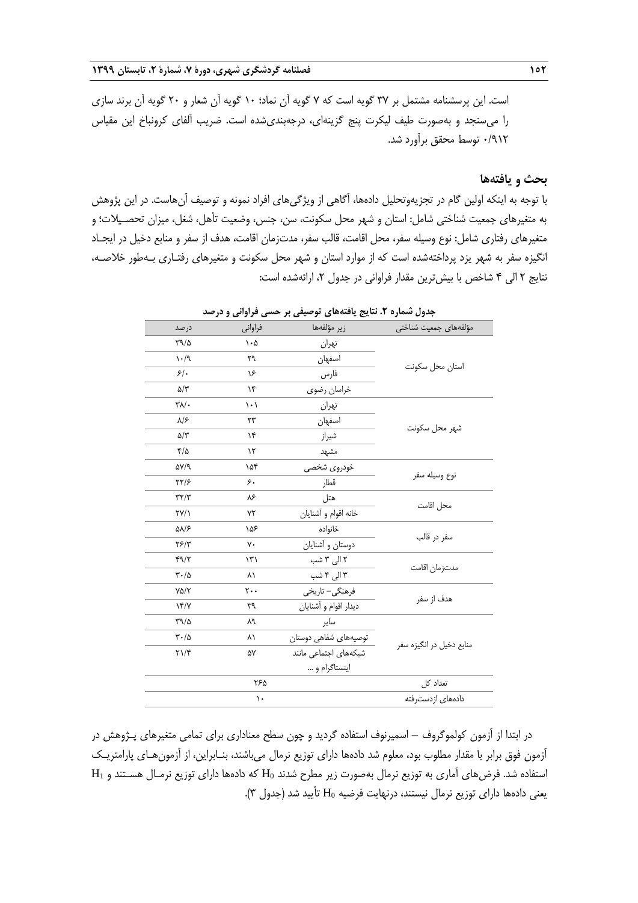است. این پرسشنامه مشتمل بر 37 گویه است که 7 گویه آن نماد؛ 10 گویه آن شعار و 20 گویه آن برند سازی را میسنجد و بهصورت طیف لیکرت پنج گزینهای، درجهبندیشده است. ضریب آلفای کرونباخ این مقیاس 0/912 توس محقق برآورد شد.

## **بحث و یافتهها**

با توجه به اینکه اولین گام در تجزیهوتحلیل دادهها، آگاهی از ویژگیهای افراد نمونه و توصیف آنهاست. در این پژوهش به متغیرهای جمعیت شناختی شامل: استان و شهر محل سکونت، سن، جنس، وضعیت تأهل، شغل، میزان تحصـیالت؛ و متغیرهای رفتاری شامل: نوع وسیله سفر، محل اقامت، قالب سفر، مدتزمان اقامت، هدف از سفر و منابع دخیل در ایجـاد انگیزه سفر به شهر یزد پرداختهشده است که از موارد استان و شهر محل سکونت و متغیرهای رفتـاری بـهطور خالصـه، نتایج 2 الی 4 شاخص با بیشترین مقدار فراوانی در جدول ،2 ارائهشده است:

| درصد                            | فراواني                 | زير مؤلفهها           | مؤلفههاى جمعيت شناختى     |
|---------------------------------|-------------------------|-----------------------|---------------------------|
| $\Gamma$ 9/0                    | $\cdot \Delta$          | تهران                 |                           |
| $\cdot$ /9                      | ٢٩                      | اصفهان                |                           |
| $5$ .                           | ۱۶                      | فارس                  | استان محل سكونت           |
| $\Delta/\tau$                   | ١۴                      | خراسان رضوى           |                           |
| $\mathbf{Y}$                    | $\langle \cdot \rangle$ | تهران                 |                           |
| $\lambda$ /۶                    | ٢٣                      | اصفهان                |                           |
| $\Delta/\tau$                   | ۱۴                      | شيراز                 | شهر محل سكونت             |
| ۴/۵                             | $\mathcal{N}$           | مشهد                  |                           |
| $\Delta V/T$                    | ۱۵۴                     | خودروى شخصى           |                           |
| $\frac{1}{2}$                   | ۶.                      | قطار                  | نوع وسيله سفر             |
| $\tau\tau/\tau$                 | ٨۶                      | هتل                   |                           |
| $\Upsilon V/\Upsilon$           | ٧٢                      | خانه اقوام و أشنايان  | محل اقامت                 |
| ۵۸/۶                            | ۱۵۶                     | خانواده               |                           |
| YF/Y                            | γ٠                      | دوستان و أشنايان      | سفر در قالب               |
| 49/7                            | $\mathcal{N}$           | ۲ الی ۳ شب            |                           |
| $\mathbf{r} \cdot / \mathbf{r}$ | ۸١                      | ۳ الی ۴ شب            | مدتزمان اقامت             |
| $Y\Delta/Y$                     | $\mathbf{y}$ .          | فرهنگی- تاریخی        |                           |
| YY/Y                            | ٣٩                      | ديدار اقوام و أشنايان | هدف از سفر                |
| $\Gamma$ 9/0                    | ٨٩                      | ساير                  |                           |
| $\mathbf{r} \cdot / \mathbf{r}$ | ۸١                      | توصیههای شفاهی دوستان | منابع دخیل در انگیزه سفر  |
| $\Upsilon \setminus \Upsilon$   | ۵۷                      | شبکههای اجتماعی مانند |                           |
|                                 |                         | اينستاگرام و          |                           |
|                                 | ۲۶۵                     |                       | تعداد کل                  |
|                                 | ١.                      |                       | دادهها <i>ی</i> ازدست٫فته |

**جدول شماره .2 نتایج یافتههای توصیفی بر حسی فراوانی و درصد**

در ابتدا از آزمون کولموگروف – اسمیرنوف استفاده گردید و چون سطح معناداری برای تمامی متغیرهای پـژوهش در آزمون فوق برابر با مقدار مطلوب بود، معلوم شد دادهها دارای توزیع نرمال میباشند، بنـابراین، از آزمونهـای پارامتریـک استفاده شد. فرضهای آماری به توزیع نرمال بهصورت زیر مطرح شدند 0H که دادهها دارای توزیع نرمـال هسـتند و 1H یعنی دادهها دارای توزیع نرمال نیستند، درنهایت فرضیه 0H تأیید شد )جدول 3(.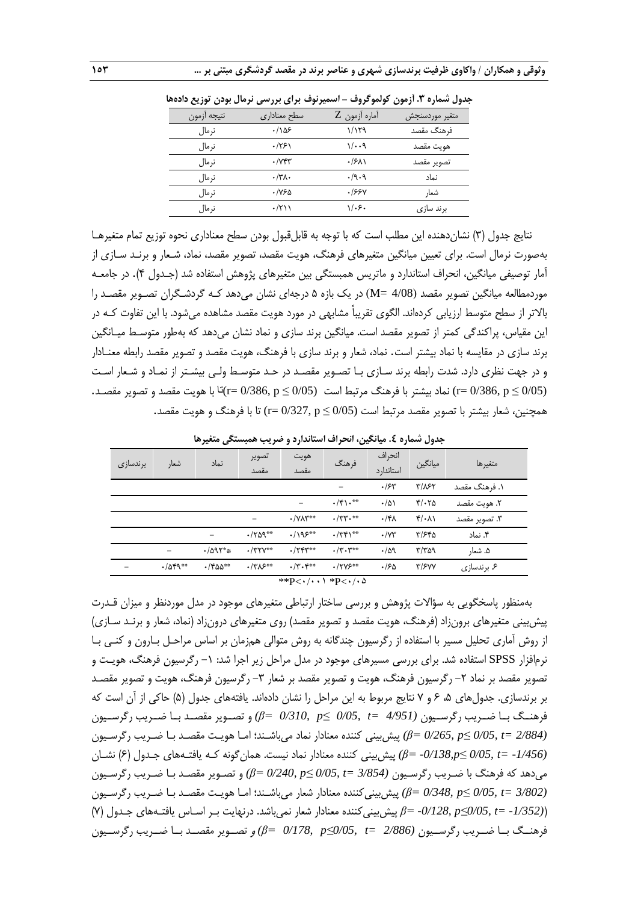|             |                       | $-J$ $J$ $\cdots$ | ינט יייני יונינט דיינ |
|-------------|-----------------------|-------------------|-----------------------|
| نتيجه أزمون | سطح معناداري          | آماره أزمون Z     | متغير موردسنجش        |
| نرمال       | .185                  | ۱/۱۲۹             | فرهنگ مقصد            |
| نرمال       | .751                  | ۱/۰۰۹             | هويت مقصد             |
| نرمال       | $\cdot$ / $\gamma$ ۴۳ | $\cdot$ /۶۸۱      | تصوير مقصد            |
| نر مال      | $\cdot/\tau$          | .9.9              | نماد                  |
| نرمال       | ۳۶۵-                  | .1999             | شعار                  |
| نرمال       | ۰/۲۱۱                 | ۱/۰۶۰             | برند سازی             |
|             |                       |                   |                       |

**جدول شماره .3 آزمون کولموگروف – اسمیرنوف برای بررسی نرمال بودن توزیع دادهها**

نتایج جدول )3( نشاندهنده این مطلب است که با توجه به قابلقبول بودن سطح معناداری نحوه توزیع تمام متغیرهـا بهصورت نرمال است. برای تعیین میانگین متغیرهای فرهنگ، هویت مقصد، تصویر مقصد، نماد، شـعار و برنـد سـازی از آمار توصیفی میانگین، انحراف استاندارد و ماتریس همبستگی بین متغیرهای پژوهش استفاده شد )جـدول 4(. در جامعـه موردمطالعه میانگین تصویر مقصد )4/08 =M )در یک بازه 5 درجهای نشان میدهد کـه گردشـگران تصـویر مقصـد را بالاتر از سطح متوسط ارزیابی کردهاند. الگوی تقریباً مشابهی در مورد هویت مقصد مشاهده می شود. با این تفاوت کـه در این مقیاس، پراکندگی کمتر از تصویر مقصد است. میانگین برند سازی و نماد نشان میدهد که بهطور متوسـ میـانگین برند سازی در مقایسه با نماد بیشتر است. نماد، شعار و برند سازی با فرهنگ، هویت مقصد و تصویر مقصد رابطه معنـادار و در جهت نظری دارد. شدت رابطه برند سـازی بـا تصـویر مقصـد در حـد متوسـ ولـی بیشـتر از نمـاد و شـعار اسـت (1/05  ${\rm r=0/386,\,p\leq 0}$  نماد بیشتر با فرهنگ مرتبط است  ${\rm (r=0/386,\,p\leq 0/05)}$ نا با هویت مقصد و تصویر مقصـد. همچنین، شعار بیشتر با تصویر مقصد مرتبط است (0/05 ≥ 0/05) r= 0/327, p با فرهنگ و هویت مقصد.

|          |                 |                              |                |                                                       |                | جدون تشدره ۶. نتیابخین، انگلرات استاندارد و خبریاب شنبستانی شمیرسا |                            |               |
|----------|-----------------|------------------------------|----------------|-------------------------------------------------------|----------------|--------------------------------------------------------------------|----------------------------|---------------|
| برندسازى | شعار            | نماد                         | تصوير<br>مقصد  | هويت<br>مقصد                                          | فرهنگ          | انحراف<br>استاندار د                                               | ميانگين                    | متغيرها       |
|          |                 |                              |                |                                                       |                | .75                                                                | $T/\lambda$ ۶۲             | ۱. فرهنگ مقصد |
|          |                 |                              |                | -                                                     | $\cdot$ /۴۱.** | $\cdot/\Delta$                                                     | $F/\cdot 70$               | ٢. هويت مقصد  |
|          |                 |                              | -              | $\cdot$ /YAY**                                        | $\cdot$ /٣٣.** | $\cdot$ /۴۸                                                        | $f(\cdot \wedge)$          | ۳. تصوير مقصد |
|          |                 |                              | $\cdot$ /٢۵٩** | $.195***$                                             | $\cdot$ /٣۴١** | $\cdot$ / $\vee\tau$                                               | T/540                      | ۴. نماد       |
|          |                 | $\cdot$ /09 $\mathbf{Y}^*$ * | $\cdot$ /٣٢٧** | $\cdot$ / $\Upsilon$ $\Upsilon$ $\Upsilon$ $\Upsilon$ | $\cdot$ /۳.۳** | $\cdot/\Delta$ 9                                                   | $\mathbf{r}/\mathbf{r}$ 29 | ۵. شعار       |
|          | $\cdot$ /049 ** | $\cdot$ /۴۵۵**               | $\cdot$ /۳۸۶** | $\cdot$ /۳.۴**                                        | $.17Y5***$     | .150                                                               | $\tau$ / $\epsilon$ yy     | ۶. برندسازی   |

**جدول شماره .4 میانگین، انحراف استاندارد و ضریب همبستگی متغیرها**

بهمنظور پاسخگویی به سؤاالت پژوهش و بررسی ساختار ارتباطی متغیرهای موجود در مدل موردنظر و میزان قـدرت پیش بینی متغیرهای برونزاد (فرهنگ، هویت مقصد و تصویر مقصد) روی متغیرهای درونزاد (نماد، شعار و برنـد سـازی) از روش آماری تحلیل مسیر با استفاده از رگرسیون چندگانه به روش متوالی همزمان بر اساس مراحـل بـارون و کنـی بـا نرمافزار SPSS استفاده شد. برای بررسی مسیرهای موجود در مدل مراحل زیر اجرا شد: ۱– رگرسیون فرهنگ، هویـت و تصویر مقصد بر نماد ۲– رگرسیون فرهنگ، هویت و تصویر مقصد بر شعار ۳– رگرسیون فرهنگ، هویت و تصویر مقصـد بر برندسازی. جدولهای ۵، ۶ و ۷ نتایج مربوط به این مراحل را نشان دادهاند. یافتههای جدول (۵) حاکی از آن است که فرهنــگ بــا ضــریب رگرســیون *(4/951 =t 0/05,≤ p 0/310,= β (*و تصــویر مقصــد بــا ضــریب رگرســیون *(2/884 =t 0/05,≤ p 0/265,= β (*پیشبینی کننده معنادار نماد میباشـند؛ امـا هویـت مقصـد بـا ضـریب رگرسـیون *(-1/456 =t 0/05,≤ p-0/138,= β (*پیشبینی کننده معنادار نماد نیست. همانگونه کـه یافتـههای جـدول )6( نشـان میدهد که فرهنگ با ضـریب رگرسـیون *(3/854 =t 0/05,≤ p 0/240,= β (*و تصـویر مقصـد بـا ضـریب رگرسـیون *(3/802 =t 0/05,≤ p 0/348,= β (*پیشبینیکننده معنادار شعار میباشـند؛ امـا هویـت مقصـد بـا ضـریب رگرسـیون )*(-1/352 =t 0/05,≤p -0/128,= β* پیشبینیکننده معنادار شعار نمیباشد. درنهایت بـر اسـاس یافتـههای جـدول )7( فرهنــگ بــا ضــریب رگرســیون *(2/886 =t 0/05,≤p 0/178,= β (*<sup>و</sup> تصــویر مقصــد بــا ضــریب رگرســیون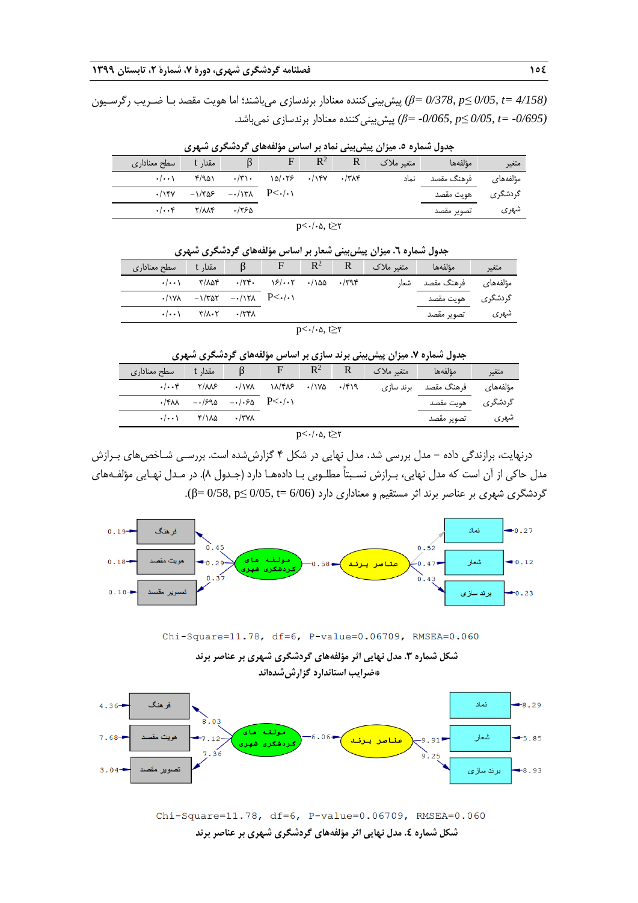**154 فصلنامه گردشگری شهری، دورۀ ،7 شمارۀ ،2 تابستان 1399**

*(4/158 =t 0/05,≤ p 0/378,= β (*پیشبینیکننده معنادار برندسازی میباشند؛ اما هویت مقصد بـا ضـریب رگرسـیون *(-0/695 =t 0/05,≤ p -0/065,= β (*پیشبینیکننده معنادار برندسازی نمیباشد.

| جنون تشدره -. میران پیش بینی شده بر استش موسستی گردشخوری شهری |  |                                                            |       |                                                                            |                |  |                |                      |                   |
|---------------------------------------------------------------|--|------------------------------------------------------------|-------|----------------------------------------------------------------------------|----------------|--|----------------|----------------------|-------------------|
|                                                               |  | مقدار t سطح معناداری                                       |       | F                                                                          | $\mathbb{R}^2$ |  | متغیر ملاک   R | ا مؤلفهها المستخدمات | متغير             |
|                                                               |  | $\cdot/\cdots$ $\uparrow$ $\uparrow$ $\uparrow$ $\uparrow$ |       | $\cdot$ /٣١٠ $\cdot$ $\cdot$ $\cdot$ / $\cdot$ $\cdot$ /*/*/* $\cdot$ /٣٨۴ |                |  | نماد           | مؤلفەھای فرھنگ مقصد  |                   |
|                                                               |  | $-(150 - 1765 - 177)$ P                                    |       |                                                                            |                |  |                |                      | گردشگری هویت مقصد |
|                                                               |  |                                                            | ۶۶۵ ک |                                                                            |                |  |                | تصوير مقصد           | شهرى              |

**جدول شماره .5 میزان پیشبینی نماد بر اساس مؤلفههای گردشگری شهری**

 $p<\cdot/\cdot \Delta$ , t≥۲

| جدول شماره ٦. میزان پیش بینی شعار بر اساس مؤلفههای گردشگری شهری |                                                                                |                               |                                                                             |  |  |                                               |                             |                  |
|-----------------------------------------------------------------|--------------------------------------------------------------------------------|-------------------------------|-----------------------------------------------------------------------------|--|--|-----------------------------------------------|-----------------------------|------------------|
| ا سطح معناداری                                                  | ا مقدا <sub>د</sub> t                                                          |                               |                                                                             |  |  | $\beta$ F R <sup>2</sup> R متغیر ملاک $\beta$ | مؤلفهها                     | متغير            |
|                                                                 |                                                                                |                               | $\cdot$ /۲۴۰ $\cdot$ $\cdot$ $\cdot$ / $\cdot$ ۰۲ $\cdot$ /۱۵۵ $\cdot$ /۳۹۴ |  |  | شعا,                                          | مؤلفەھا <i>ی</i> فرھنگ مقصد |                  |
|                                                                 | $\cdot$ / $\sqrt{2}$ - $\sqrt{7}$                                              | $-\cdot/\nu$ $P<\cdot/\cdot\$ |                                                                             |  |  |                                               | هويت مقصد                   | گر دشگر <i>ی</i> |
|                                                                 | $\cdot/\cdot\cdot$ $\cdot$ $\cdot/\lambda\cdot\tau$ $\cdot/\tau$ $\tau\lambda$ |                               |                                                                             |  |  |                                               | تصوير مقصد                  | شهری             |

**جدول شماره .7 میزان پیشبینی برند سازی بر اساس مؤلفههای گردشگری شهری**

| مقدار t          سطح معناداری |                                    |              |                                                                                                                                                                                                                                                                                                                                                                                                                             | $\mathbb{R}^2$ | متغیر ملاک | مؤلفهها                         | متغير |
|-------------------------------|------------------------------------|--------------|-----------------------------------------------------------------------------------------------------------------------------------------------------------------------------------------------------------------------------------------------------------------------------------------------------------------------------------------------------------------------------------------------------------------------------|----------------|------------|---------------------------------|-------|
|                               |                                    |              | $\cdot/\cdot\cdot$ $\uparrow$ $\wedge/\sim$ $\cdot/\sim$ $\cdot/\sim$ $\cdot/\sim$ $\cdot/\sim$ $\cdot/\sim$ $\cdot/\sim$ $\cdot/\sim$ $\cdot/\sim$ $\cdot/\sim$ $\cdot/\sim$ $\cdot/\sim$ $\cdot/\sim$ $\cdot/\sim$ $\cdot/\sim$ $\cdot/\sim$ $\cdot/\sim$ $\cdot/\sim$ $\cdot/\sim$ $\cdot/\sim$ $\cdot/\sim$ $\cdot/\sim$ $\cdot/\sim$ $\cdot/\sim$ $\cdot/\sim$ $\cdot/\sim$ $\cdot/\sim$ $\cdot/\sim$ $\cdot/\sim$ $\$ |                |            | ِ مؤلفەھای فرھنگ مقصد برند سازی |       |
|                               | $-(8.1 + 1.5)$                     |              |                                                                                                                                                                                                                                                                                                                                                                                                                             |                |            | گردشگری هویت۔مقصد               |       |
|                               | $-(\cdot \cdot)$ $f/\lambda\Delta$ | $\cdot$ /۳۷۸ |                                                                                                                                                                                                                                                                                                                                                                                                                             |                |            | تصوير مقصد                      | شهری  |

 $p<\cdot/\cdot \Delta$ , t≥ $\tau$ 

درنهایت، برازندگی داده - مدل بررسی شد. مدل نهایی در شکل 4 گزارششده است. بررسـی شـاخصهای بـرازش مدل حاکی از آن است که مدل نهایی، بـرازش نسـبتاً مطلـوبی بـا دادههـا دارد )جـدول 8(. در مـدل نهـایی مؤلفـههای گردشگری شهری بر عناصر برند اثر مستقیم و معناداری دارد (6/06 =t 0/05,≤ p 0/58,= β(.



Chi-Square=11.78, df=6, P-value=0.06709, RMSEA=0.060

**شکل شماره .3 مدل نهایی اثر مؤلفههای گردشگری شهری بر عناصر برند \*ضرایب استاندارد گزارششدهاند**



Chi-Square=11.78, df=6, P-value=0.06709, RMSEA=0.060 **شکل شماره .4 مدل نهایی اثر مؤلفههای گردشگری شهری بر عناصر برند**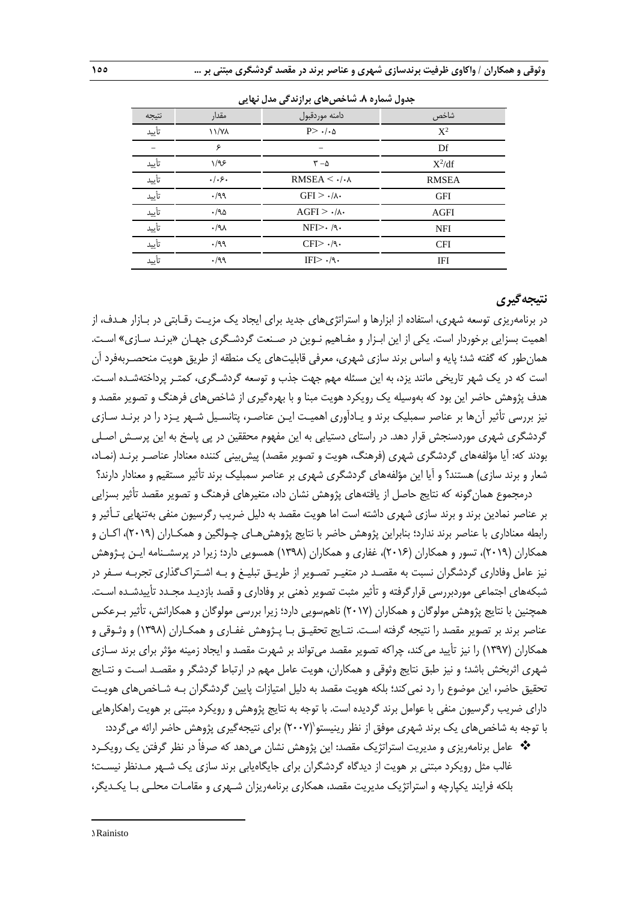| س کی براہ سی شامل ہو گیا<br>- 2000 - 2000 |              |                                  |              |  |  |  |  |
|-------------------------------------------|--------------|----------------------------------|--------------|--|--|--|--|
| نتيجه                                     | مقدار        | دامنه موردقبول                   | شاخص         |  |  |  |  |
| تأييد                                     | <b>\\/Y\</b> | $P > \cdot / \cdot \Delta$       | $X^2$        |  |  |  |  |
|                                           | ۶            |                                  | Df           |  |  |  |  |
| تأييد                                     | 1/95         | $r - \Delta$                     | $X^2/df$     |  |  |  |  |
| تأييد                                     | $.  .$ ۶.    | RMSEA $\leq$ $\cdot$ / $\cdot$ A | <b>RMSEA</b> |  |  |  |  |
| تأييد                                     | .199         | $GFI > \cdot/\wedge$             | <b>GFI</b>   |  |  |  |  |
| تأييد                                     | .190         | $AGFI$ > $\cdot/\lambda$ .       | <b>AGFI</b>  |  |  |  |  |
| تأييد                                     | .44          | $NFI > \cdot$ /9.                | <b>NFI</b>   |  |  |  |  |
| تأييد                                     | .199         | $CFI > \cdot$ /٩                 | <b>CFI</b>   |  |  |  |  |
| تأىد                                      | .199         | $IF\rightarrow ./9.$             | IFI          |  |  |  |  |
|                                           |              |                                  |              |  |  |  |  |

**جدول شماره .8 شاخصهای برازندگی مدل نهایی**

# **نتیجهگیری**

در برنامهریزی توسعه شهری، استفاده از ابزارها و استراتژیهای جدید برای ایجاد یک مزیـت رقـابتی در بـازار هـدف، از اهمیت بسزایی برخوردار است. یکی از این ابـزار و مفـاهیم نـوین در صـنعت گردشـگری جهـان »برنـد سـازی« اسـت. همانطور که گفته شد؛ پایه و اساس برند سازی شهری، معرفی قابلیتهای یک منطقه از طریق هویت منحصـربهفرد آن است که در یک شهر تاریخی مانند یزد، به این مسئله مهم جهت جذب و توسعه گردشـگری، کمتـر پرداختهشـده اسـت. هدف پژوهش حاضر این بود که بهوسیله یک رویکرد هویت مبنا و با بهرهگیری از شاخصهای فرهنگ و تصویر مقصد و نیز بررسی تأثیر آنها بر عناصر سمبلیک برند و یـادآوری اهمیـت ایـن عناصـر، پتانسـیل شـهر یـزد را در برنـد سـازی گردشگری شهری موردسنجش قرار دهد. در راستای دستیابی به این مفهوم محققین در پی پاسخ به این پرسـش اصـلی بودند که: آیا مؤلفههای گردشگری شهری (فرهنگ، هویت و تصویر مقصد) پیش بینی کننده معنادار عناصـر برنـد (نمـاد، شعار و برند سازی) هستند؟ و آیا این مؤلفههای گردشگری شهری بر عناصر سمبلیک برند تأثیر مستقیم و معنادار دارند؟

درمجموع همانگونه که نتایج حاصل از یافتههای پژوهش نشان داد، متغیرهای فرهنگ و تصویر مقصد تأثیر بسزایی بر عناصر نمادین برند و برند سازی شهری داشته است اما هویت مقصد به دلیل ضریب رگرسیون منفی بهتنهایی تـأثیر و رابطه معناداری با عناصر برند ندارد؛ بنابراین پژوهش حاضر با نتایج پژوهشهـای چـولگین و همکـاران )2019(، اکـان و همکاران (۲۰۱۹)، تسور و همکاران (۲۰۱۶)، غفاری و همکاران (۱۳۹۸) همسویی دارد؛ زیرا در پرسشـنامه ایـن پـژوهش نیز عامل وفاداری گردشگران نسبت به مقصـد در متغیـر تصـویر از طریـق تبلیـغ و بـه اشـتراكگذاری تجربـه سـفر در شبکههای اجتماعی موردبررسی قرارگرفته و تأثیر مثبت تصویر ذهنی بر وفاداری و قصد بازدیـد مجـدد تأییدشـده اسـت. همچنین با نتایج پژوهش مولوگان و همکاران )2017( ناهمسویی دارد؛ زیرا بررسی مولوگان و همکارانش، تأثیر بـرعکس عناصر برند بر تصویر مقصد را نتیجه گرفته اسـت. نتـایج تحقیـق بـا پـژوهش غفـاری و همکـاران )1398( و وثـوقی و همکاران )1397( را نیز تأیید میکند، چراکه تصویر مقصد میتواند بر شهرت مقصد و ایجاد زمینه مؤثر برای برند سـازی شهری اثربخش باشد؛ و نیز طبق نتایج وثوقی و همکاران، هویت عامل مهم در ارتباط گردشگر و مقصـد اسـت و نتـایج تحقیق حاضر، این موضوع را رد نمیکند؛ بلکه هویت مقصد به دلیل امتیازات پایین گردشگران بـه شـاخصهای هویـت دارای ضریب رگرسیون منفی با عوامل برند گردیده است. با توجه به نتایج پژوهش و رویکرد مبتنی بر هویت راهکارهایی با توجه به شاخصهای یک برند شهری موفق از نظر رینیستو $(\mathrm{Y}\cdot\mathrm{Y})$  برای نتیجهگیری پژوهش حاضر ارائه میگردد:

 عامل برنامهریزی و مدیریت استراتژیک مقصد: این پژوهش نشان میدهد که صرفاً در نظر گرفتن یک رویکـرد غالب مثل رویکرد مبتنی بر هویت از دیدگاه گردشگران برای جایگاهیابی برند سازی یک شـهر مـدنظر نیسـت؛ بلکه فرایند یکپارچه و استراتژیک مدیریت مقصد، همکاری برنامهریزان شـهری و مقامـات محلـی بـا یکـدیگر،

1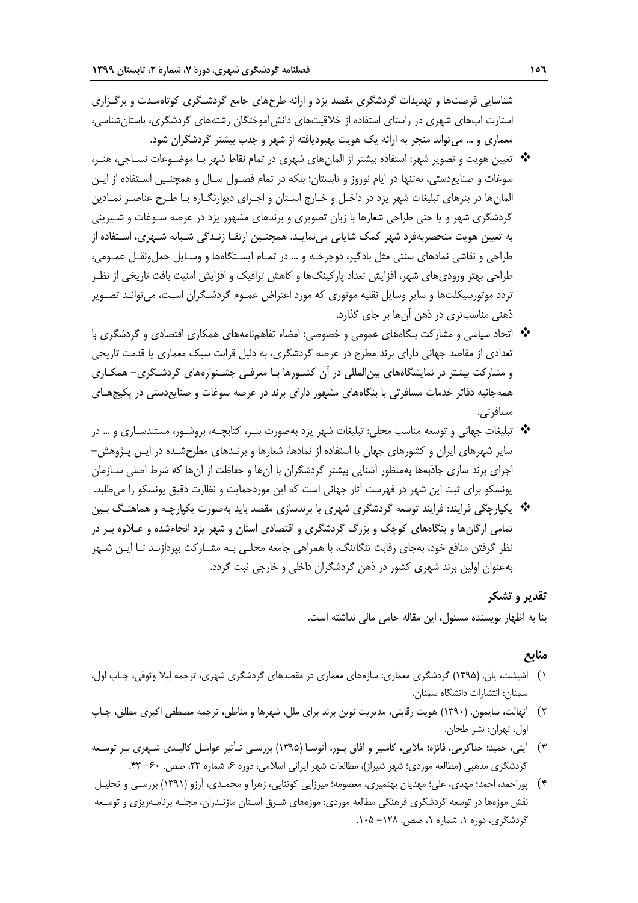شناسایی فرصتها و تهدیدات گردشگری مقصد یزد و ارائه طرحهای جامع گردشـگری کوتاهمـدت و برگـزاری استارت اپهای شهری در راستای استفاده از خالقیتهای دانشآموختگان رشتههای گردشگری، باستانشناسی، معماری و ... میتواند منجر به ارائه یک هویت بهبودیافته از شهر و جذب بیشتر گردشگران شود.

- تعیین هویت و تصویر شهر: استفاده بیشتر از المانهای شهری در تمام نقاط شهر بـا موضـوعات نسـاجی، هنـر، سوغات و صنایعدستی، نهتنها در ایام نوروز و تابستان؛ بلکه در تمام فصـول سـال و همچنـین اسـتفاده از ایـن المانها در بنرهای تبلیغات شهر یزد در داخـل و خـارج اسـتان و اجـرای دیوارنگـاره بـا طـرح عناصـر نمـادین گردشگری شهر و یا حتی طراحی شعارها با زبان تصویری و برندهای مشهور یزد در عرصه سـوغات و شـیرینی به تعیین هویت منحصربهفرد شهر کمک شایانی مینمایـد. همچنـین ارتقـا زنـدگی شـبانه شـهری، اسـتفاده از طراحی و نقاشی نمادهای سنتی مثل بادگیر، دوچرخـه و ... در تمـام ایسـتگاهها و وسـایل حملونقـل عمـومی، طراحی بهتر ورودیهای شهر، افزایش تعداد پارکینگها و کاهش ترافیک و افزایش امنیت بافت تاریخی از نظـر تردد موتورسیکلتها و سایر وسایل نقلیه موتوری که مورد اعتراض عمـوم گردشـگران اسـت، میتوانـد تصـویر ذهنی مناسبتری در ذهن آنها بر جای گذارد.
- اتحاد سیاسی و مشارکت بنگاههای عمومی و خصوصی: امضاء تفاهمنامههای همکاری اقتصادی و گردشگری با تعدادی از مقاصد جهانی دارای برند مطرح در عرصه گردشگری، به دلیل قرابت سبک معماری یا قدمت تاریخی و مشارکت بیشتر در نمایشگاههای بینالمللی در آن کشـورها بـا معرفـی جشـنوارههای گردشـگری- همکـاری همهجانبه دفاتر خدمات مسافرتی با بنگاههای مشهور دارای برند در عرصه سوغات و صنایعدستی در پکیجهـای مسافرتی.
- تبلیغات جهانی و توسعه مناسب محلی: تبلیغات شهر یزد بهصورت بنـر، کتابچـه، بروشـور، مستندسـازی و ... در سایر شهرهای ایران و کشورهای جهان با استفاده از نمادها، شعارها و برنـدهای مطرحشـده در ایـن پـژوهش- اجرای برند سازی جاذبهها بهمنظور آشنایی بیشتر گردشگران با آنها و حفاظت از آنها که شرط اصلی سـازمان یونسکو برای ثبت این شهر در فهرست آثار جهانی است که این موردحمایت و نظارت دقیق یونسکو را میطلبد.
- یکپارچگی فرایند: فرایند توسعه گردشگری شهری با برندسازی مقصد باید بهصورت یکپارچـه و هماهنـگ بـین تمامی ارگانها و بنگاههای کوچک و بزرر گردشگری و اقتصادی استان و شهر یزد انجامشده و عـالوه بـر در نظر گرفتن منافع خود، بهجای رقابت تنگاتنگ، با همراهی جامعه محلـی بـه مشـارکت بپردازنـد تـا ایـن شـهر بهعنوان اولین برند شهری کشور در ذهن گردشگران داخلی و خارجی ثبت گردد.

# **تقدیر و تشکر**

بنا به اظهار نویسنده مسئول، این مقاله حامی مالی نداشته است.

# **منابع**

- 1( اشپشت، یان. )1395( گردشگری معماری: سازههای معماری در مقصدهای گردشگری شهری، ترجمه لیال وثوقی، چـاپ اول، سمنان: انتشارات دانشگاه سمنان.
- 2( آنهالت، سایمون. )1390( هویت رقابتی، مدیریت نوین برند برای ملل، شهرها و مناطق، ترجمه مصطفی اکبری مطلق، چـاپ اول، تهران: نشر طحان.
- 3( آیتی، حمید؛ خداکرمی، فائزه؛ مالیی، کامبیز و آفاق پـور، آتوسـا )1395( بررسـی تـأثیر عوامـل کالبـدی شـهری بـر توسـعه گردشگری مذهبی (مطالعه موردی؛ شهر شیراز)، مطالعات شهر ایرانی اسلامی، دوره ۶، شماره ۲۳، صص. ۶۰- ۴۳.
- 4( پوراحمد، احمد؛ مهدی، علی؛ مهدیان بهنمیری، معصومه؛ میرزایی کوتنایی، زهرا و محمـدی، آرزو )1391( بررسـی و تحلیـل نقش موزهها در توسعه گردشگری فرهنگی مطالعه موردی: موزههای شـرق اسـتان مازنـدران، مجلـه برنامـهریزی و توسـعه گردشگری، دوره ۱، شماره ۱، صص. ۱۲۸– ۱۰۵.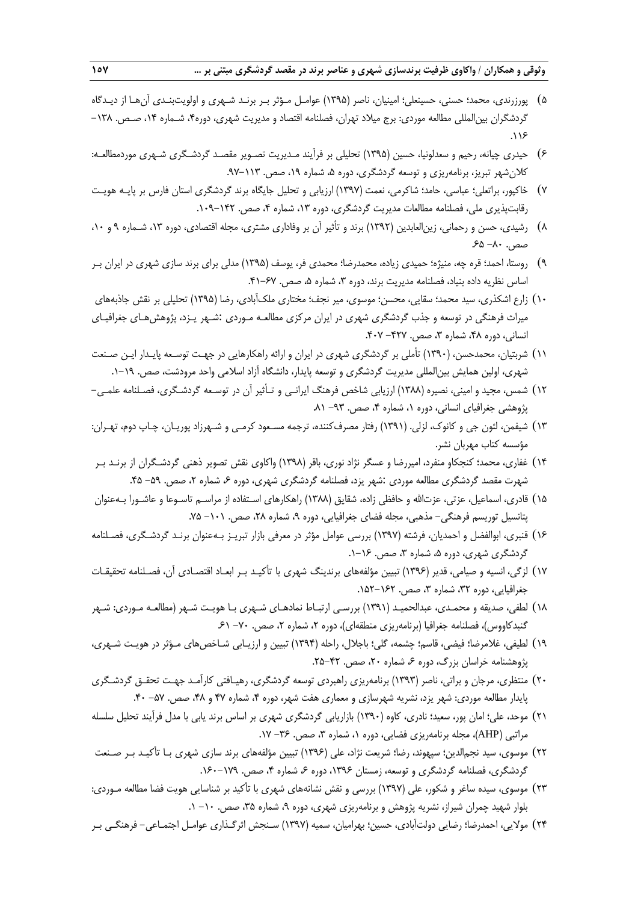- 5( پورزرندی، محمد؛ حسنی، حسینعلی؛ امینیان، ناصر )1395( عوامـل مـؤثر بـر برنـد شـهری و اولویتبنـدی آنهـا از دیـدگاه گردشگران بینالمللی مطالعه موردی: برج میلاد تهران، فصلنامه اقتصاد و مدیریت شهری، دوره۴، شـماره ۱۴، صـص. ۱۳۸–  $.119$
- 6( حیدری چیانه، رحیم و سعدلونیا، حسین )1395( تحلیلی بر فرآیند مـدیریت تصـویر مقصـد گردشـگری شـهری موردمطالعـه: کلان شهر تبریز، برنامهریزی و توسعه گردشگری، دوره ۵، شماره ۱۹، صص. ۱۱۳-۹۲.
- 7( خاکپور، براتعلی؛ عباسی، حامد؛ شاکرمی، نعمت )1397( ارزیابی و تحلیل جایگاه برند گردشگری استان فارس بر پایـه هویـت رقابتپذیری ملی، فصلنامه مطالعات مدیریت گردشگری، دوره ۱۳، شماره ۴، صص. ۱۴۲-۱۰۹.
- 8( رشیدی، حسن و رحمانی، زینالعابدین )1392( برند و تأثیر آن بر وفاداری مشتری، مجله اقتصادی، دوره ،13 شـماره 9 و ،10 صص. ٨٠- ۶۵-
- 9( روستا، احمد؛ قره چه، منیژه؛ حمیدی زیاده، محمدرضا؛ محمدی فر، یوسف )1395( مدلی برای برند سازی شهری در ایران بـر اساس نظریه داده بنیاد، فصلنامه مدیریت برند، دوره ۳، شماره ۵، صص. ۶۷-۴۱.
- ۱۰) زارع اشکذری، سید محمد؛ سقایی، محسن؛ موسوی، میر نجف؛ مختاری ملکآبادی، رضا (۱۳۹۵) تحلیلی بر نقش جاذبههای میراث فرهنگی در توسعه و جذب گردشگری شهری در ایران مرکزی مطالعـه مـوردی :شـهر یـزد، پژوهشهـای جغرافیـای انسانی، دوره ۴۸، شماره ۳، صص. ۴۲۷- ۴۰۷.
- 11( شربتیان، محمدحسن، )1390( تأملی بر گردشگری شهری در ایران و ارائه راهکارهایی در جهـت توسـعه پایـدار ایـن صـنعت شهری، اولین همایش بینالمللی مدیریت گردشگری و توسعه پایدار، دانشگاه آزاد اسالمی واحد مرودشت، صص. .1-19
- 12( شمس، مجید و امینی، نصیره )1388( ارزیابی شاخص فرهنگ ایرانـی و تـأثیر آن در توسـعه گردشـگری، فصـلنامه علمـی- پژوهشی جغرافیای انسانی، دوره ۰٫ شماره ۴٫ صص. ۹۳- ۸۱.
- 13( شیفمن، لئون جی و کانوك، لزلی. )1391( رفتار مصرفکننده، ترجمه مسـعود کرمـی و شـهرزاد پوریـان، چـاپ دوم، تهـران: مؤسسه کتاب مهربان نشر.
- 14( غفاری، محمد؛ کنجکاو منفرد، امیررضا و عسگر نژاد نوری، باقر )1398( واکاوی نقش تصویر ذهنی گردشـگران از برنـد بـر شهرت مقصد گردشگری مطالعه موردی :شهر یزد، فصلنامه گردشگری شهری، دوره ۶، شماره ۲، صص. ۵۹- ۴۵.
- ۱۵) قادری، اسماعیل، عزتی، عزتالله و حافظی زاده، شقایق (۱۳۸۸) راهکارهای اسـتفاده از مراسـم تاسـوعا و عاشـورا بـهعنوان پتانسیل توریسم فرهنگی- مذهبی، مجله فضای جغرافیایی، دوره ۹، شماره ۲۸، صص. ۱۰۱– ۷۵.
- 16( قنبری، ابوالفضل و احمدیان، فرشته )1397( بررسی عوامل مؤثر در معرفی بازار تبریـز بـهعنوان برنـد گردشـگری، فصـلنامه گردشگری شهری، دوره ۵، شماره ۳، صص. ۱۶–۱.
- 17( لزگی، انسیه و صیامی، قدیر )1396( تبیین مؤلفههای برندینگ شهری با تأکیـد بـر ابعـاد اقتصـادی آن، فصـلنامه تحقیقـات جغرافیایی، دوره ۳۲، شماره ۳، صص. ۱۶۲–۱۵۲.
- 18( لطفی، صدیقه و محمـدی، عبدالحمیـد )1391( بررسـی ارتبـاط نمادهـای شـهری بـا هویـت شـهر )مطالعـه مـوردی: شـهر گنبدکاووس)، فصلنامه جغرافیا (برنامهریزی منطقهای)، دوره ۲، شماره ۲، صص. ۷۰- ۶۱.
- 19( لطیفی، غالمرضا؛ فیضی، قاسم؛ چشمه، گلی؛ باجالل، راحله )1394( تبیین و ارزیـابی شـاخصهای مـؤثر در هویـت شـهری، پژوهشنامه خراسان بزرگ، دوره ۶۰ شماره ۲۰، صص. ۴۲-۲۵.
- 20( منتظری، مرجان و براتی، ناصر )1393( برنامهریزی راهبردی توسعه گردشگری، رهیـافتی کارآمـد جهـت تحقـق گردشـگری پایدار مطالعه موردی: شهر یزد، نشریه شهرسازی و معماری هفت شهر، دوره ۴، شماره ۴۷ و ۴۸، صص. ۵۷- ۴۰.
- 21( موحد، علی؛ امان پور، سعید؛ نادری، کاوه )1390( بازاریابی گردشگری شهری بر اساس برند یابی با مدل فرآیند تحلیل سلسله مراتبی (AHP)، مجله برنامهریزی فضایی، دوره ۰٫ شماره ۳٫ صص. ۳۶- ۱۷.
- 22( موسوی، سید نجمالدین؛ سپهوند، رضا؛ شریعت نژاد، علی )1396( تبیین مؤلفههای برند سازی شهری بـا تأکیـد بـر صـنعت گردشگری، فصلنامه گردشگری و توسعه، زمستان ۱۳۹۶. دوره ۶ شماره ۴، صص. ۱۷۹–۱۶۰.
- 23( موسوی، سیده ساغر و شکور، علی )1397( بررسی و نقش نشانههای شهری با تأکید بر شناسایی هویت فضا مطالعه مـوردی: بلوار شهید چمران شیراز، نشریه پژوهش و برنامهریزی شهری، دوره ،9 شماره ،35 صص. -10 .1
- 24( موالیی، احمدرضا؛ رضایی دولتآبادی، حسین؛ بهرامیان، سمیه )1397( سـنجش اثرگـذاری عوامـل اجتمـاعی- فرهنگـی بـر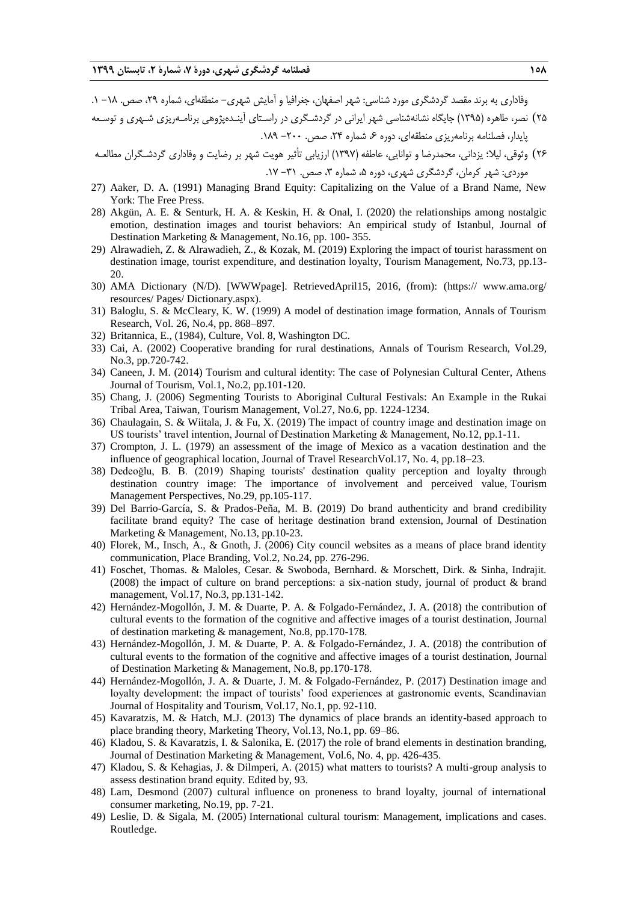وفاداری به برند مقصد گردشگری مورد شناسی: شهر اصفهان، جغرافیا و آمایش شهری– منطقهای، شماره ۲۹، صص. ۱۸– ۱.

۲۵) نصر، طاهره (۱۳۹۵) جایگاه نشانهشناسی شهر ایرانی در گردشـگری در راسـتای آینـدهپژوهی برنامـهریزی شـهری و توسـعه پایدار، فصلنامه برنامهریزی منطقهای، دوره ۶، شماره ۲۴، صص. -۲۰۰- ۱۸۹.

26( وثوقی، لیال؛ یزدانی، محمدرضا و توانایی، عاطفه )1397( ارزیابی تأثیر هویت شهر بر رضایت و وفاداری گردشـگران مطالعـه موردی: شهر کرمان، گردشگری شهری، دوره ،5 شماره ،3 صص. -31 .17

- 27) Aaker, D. A. (1991) Managing Brand Equity: Capitalizing on the Value of a Brand Name, New York: The Free Press.
- 28) Akgün, A. E. & Senturk, H. A. & Keskin, H. & Onal, I. (2020) the relationships among nostalgic emotion, destination images and tourist behaviors: An empirical study of Istanbul, Journal of Destination Marketing & Management, No.16, pp. 100- 355.
- 29) Alrawadieh, Z. & Alrawadieh, Z., & Kozak, M. (2019) Exploring the impact of tourist harassment on destination image, tourist expenditure, and destination loyalty, Tourism Management, No.73, pp.13- 20.
- 30) AMA Dictionary (N/D). [WWWpage]. RetrievedApril15, 2016, (from): (https:// www.ama.org/ resources/ Pages/ Dictionary.aspx).
- 31) Baloglu, S. & McCleary, K. W. (1999) A model of destination image formation, Annals of Tourism Research, Vol. 26, No.4, pp. 868–897.
- 32) Britannica, E., (1984), Culture, Vol. 8, Washington DC.
- 33) Cai, A. (2002) Cooperative branding for rural destinations, Annals of Tourism Research, Vol.29, No.3, pp.720-742.
- 34) Caneen, J. M. (2014) Tourism and cultural identity: The case of Polynesian Cultural Center, Athens Journal of Tourism, Vol.1, No.2, pp.101-120.
- 35) Chang, J. (2006) Segmenting Tourists to Aboriginal Cultural Festivals: An Example in the Rukai Tribal Area, Taiwan, Tourism Management, Vol.27, No.6, pp. 1224-1234.
- 36) Chaulagain, S. & Wiitala, J. & Fu, X. (2019) The impact of country image and destination image on US tourists' travel intention, Journal of Destination Marketing & Management, No.12, pp.1-11.
- 37) Crompton, J. L. (1979) an assessment of the image of Mexico as a vacation destination and the influence of geographical location, Journal of Travel ResearchVol.17, No. 4, pp.18–23.
- 38) Dedeoğlu, B. B. (2019) Shaping tourists' destination quality perception and loyalty through destination country image: The importance of involvement and perceived value, Tourism Management Perspectives, No.29, pp.105-117.
- 39) Del Barrio-García, S. & Prados-Peña, M. B. (2019) Do brand authenticity and brand credibility facilitate brand equity? The case of heritage destination brand extension, Journal of Destination Marketing & Management, No.13, pp.10-23.
- 40) Florek, M., Insch, A., & Gnoth, J. (2006) City council websites as a means of place brand identity communication, Place Branding, Vol.2, No.24, pp. 276-296.
- 41) Foschet, Thomas. & Maloles, Cesar. & Swoboda, Bernhard. & Morschett, Dirk. & Sinha, Indrajit. (2008) the impact of culture on brand perceptions: a six-nation study, journal of product & brand management, Vol.17, No.3, pp.131-142.
- 42) Hernández-Mogollón, J. M. & Duarte, P. A. & Folgado-Fernández, J. A. (2018) the contribution of cultural events to the formation of the cognitive and affective images of a tourist destination, Journal of destination marketing & management, No.8, pp.170-178.
- 43) Hernández-Mogollón, J. M. & Duarte, P. A. & Folgado-Fernández, J. A. (2018) the contribution of cultural events to the formation of the cognitive and affective images of a tourist destination, Journal of Destination Marketing & Management, No.8, pp.170-178.
- 44) Hernández-Mogollón, J. A. & Duarte, J. M. & Folgado-Fernández, P. (2017) Destination image and loyalty development: the impact of tourists' food experiences at gastronomic events, Scandinavian Journal of Hospitality and Tourism, Vol.17, No.1, pp. 92-110.
- 45) Kavaratzis, M. & Hatch, M.J. (2013) The dynamics of place brands an identity-based approach to place branding theory, Marketing Theory, Vol.13, No.1, pp. 69–86.
- 46) Kladou, S. & Kavaratzis, I. & Salonika, E. (2017) the role of brand elements in destination branding, Journal of Destination Marketing & Management, Vol.6, No. 4, pp. 426-435.
- 47) Kladou, S. & Kehagias, J. & Dilmperi, A. (2015) what matters to tourists? A multi-group analysis to assess destination brand equity. Edited by, 93.
- 48) Lam, Desmond (2007) cultural influence on proneness to brand loyalty, journal of international consumer marketing, No.19, pp. 7-21.
- 49) Leslie, D. & Sigala, M. (2005) International cultural tourism: Management, implications and cases. Routledge.